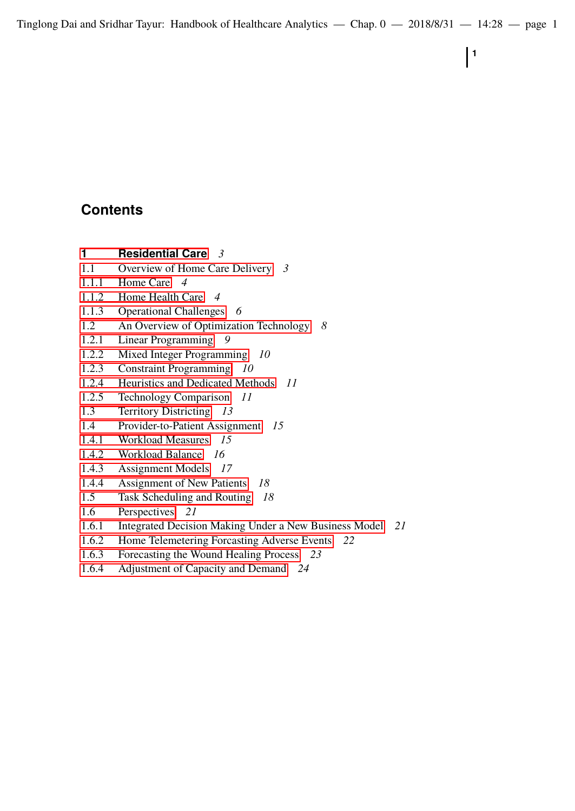Tinglong Dai and Sridhar Tayur: Handbook of Healthcare Analytics — Chap. 0 — 2018/8/31 — 14:28 — page 1

# **Contents**

- **[1 Residential Care](#page-2-0)** *3*
- [1.1 Overview of Home Care Delivery](#page-2-1) *3*
- [1.1.1 Home Care](#page-3-0) *4*
- [1.1.2 Home Health Care](#page-3-1) *4*
- [1.1.3 Operational Challenges](#page-5-0) *6*
- [1.2 An Overview of Optimization Technology](#page-7-0) *8*
- [1.2.1 Linear Programming](#page-8-0) *9*
- [1.2.2 Mixed Integer Programming](#page-9-0) *10*
- [1.2.3 Constraint Programming](#page-9-1) *10*
- [1.2.4 Heuristics and Dedicated Methods](#page-10-0) *11*
- [1.2.5 Technology Comparison](#page-10-1) *11*
- [1.3 Territory Districting](#page-12-0) *13*
- [1.4 Provider-to-Patient Assignment](#page-14-0) *15*
- [1.4.1 Workload Measures](#page-14-1) *15*
- [1.4.2 Workload Balance](#page-15-0) *16*
- [1.4.3 Assignment Models](#page-16-0) *17*
- [1.4.4 Assignment of New Patients](#page-17-0) *18*
- [1.5 Task Scheduling and Routing](#page-17-1) *18*
- [1.6 Perspectives](#page-20-0) *21*
- [1.6.1 Integrated Decision Making Under a New Business Model](#page-20-1) *21*
- [1.6.2 Home Telemetering Forcasting Adverse Events](#page-21-0) *22*
- [1.6.3 Forecasting the Wound Healing Process](#page-22-0) *23*
- [1.6.4 Adjustment of Capacity and Demand](#page-23-0) *24*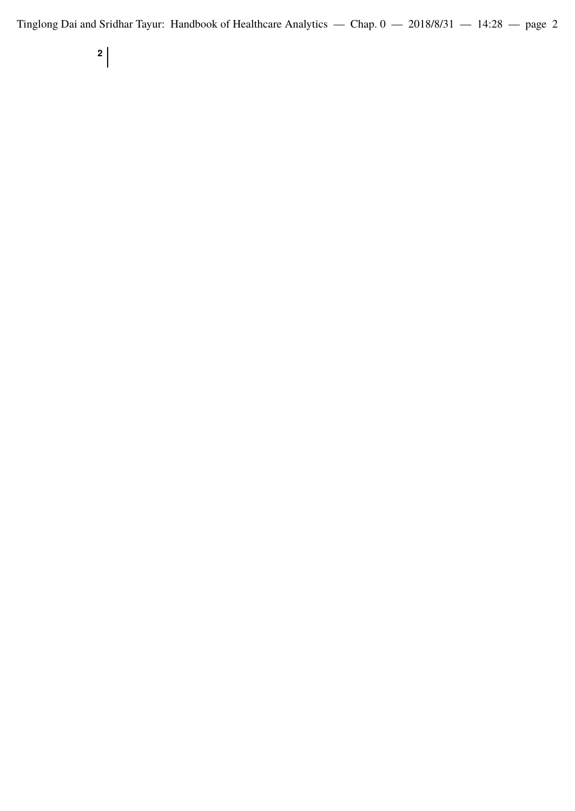Tinglong Dai and Sridhar Tayur: Handbook of Healthcare Analytics — Chap. 0 — 2018/8/31 — 14:28 — page 2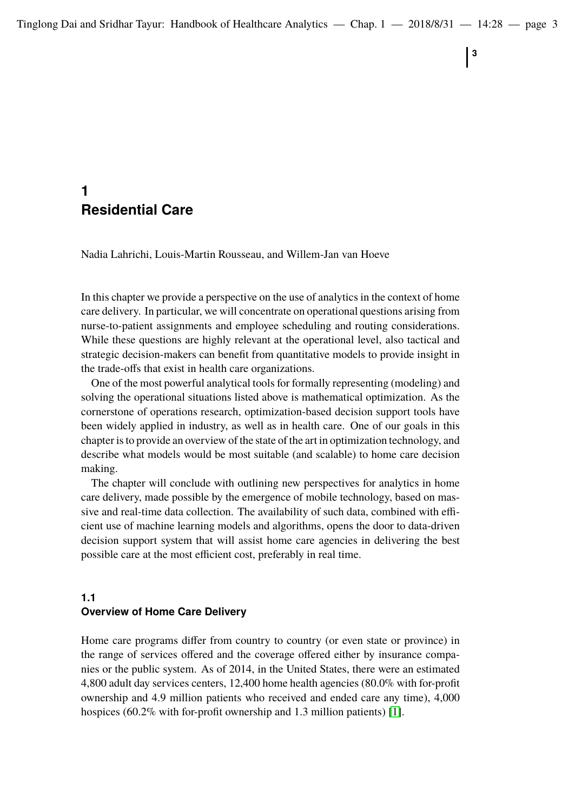# <span id="page-2-0"></span>**1 Residential Care**

Nadia Lahrichi, Louis-Martin Rousseau, and Willem-Jan van Hoeve

In this chapter we provide a perspective on the use of analytics in the context of home care delivery. In particular, we will concentrate on operational questions arising from nurse-to-patient assignments and employee scheduling and routing considerations. While these questions are highly relevant at the operational level, also tactical and strategic decision-makers can benefit from quantitative models to provide insight in the trade-offs that exist in health care organizations.

One of the most powerful analytical tools for formally representing (modeling) and solving the operational situations listed above is mathematical optimization. As the cornerstone of operations research, optimization-based decision support tools have been widely applied in industry, as well as in health care. One of our goals in this chapter is to provide an overview of the state of the art in optimization technology, and describe what models would be most suitable (and scalable) to home care decision making.

The chapter will conclude with outlining new perspectives for analytics in home care delivery, made possible by the emergence of mobile technology, based on massive and real-time data collection. The availability of such data, combined with efficient use of machine learning models and algorithms, opens the door to data-driven decision support system that will assist home care agencies in delivering the best possible care at the most efficient cost, preferably in real time.

#### <span id="page-2-1"></span>**1.1 Overview of Home Care Delivery**

Home care programs differ from country to country (or even state or province) in the range of services offered and the coverage offered either by insurance companies or the public system. As of 2014, in the United States, there were an estimated 4,800 adult day services centers, 12,400 home health agencies (80.0% with for-profit ownership and 4.9 million patients who received and ended care any time), 4,000 hospices (60.2% with for-profit ownership and 1.3 million patients) [\[1\]](#page-24-0).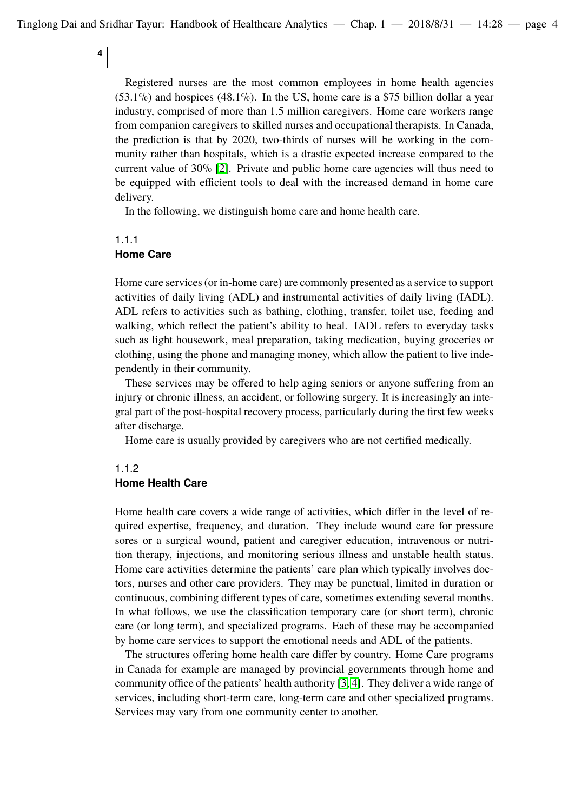Registered nurses are the most common employees in home health agencies  $(53.1\%)$  and hospices  $(48.1\%)$ . In the US, home care is a \$75 billion dollar a year industry, comprised of more than 1.5 million caregivers. Home care workers range from companion caregivers to skilled nurses and occupational therapists. In Canada, the prediction is that by 2020, two-thirds of nurses will be working in the community rather than hospitals, which is a drastic expected increase compared to the current value of 30% [\[2\]](#page-24-1). Private and public home care agencies will thus need to be equipped with efficient tools to deal with the increased demand in home care delivery.

In the following, we distinguish home care and home health care.

#### <span id="page-3-0"></span>1.1.1 **Home Care**

Home care services (or in-home care) are commonly presented as a service to support activities of daily living (ADL) and instrumental activities of daily living (IADL). ADL refers to activities such as bathing, clothing, transfer, toilet use, feeding and walking, which reflect the patient's ability to heal. IADL refers to everyday tasks such as light housework, meal preparation, taking medication, buying groceries or clothing, using the phone and managing money, which allow the patient to live independently in their community.

These services may be offered to help aging seniors or anyone suffering from an injury or chronic illness, an accident, or following surgery. It is increasingly an integral part of the post-hospital recovery process, particularly during the first few weeks after discharge.

Home care is usually provided by caregivers who are not certified medically.

#### <span id="page-3-1"></span>1.1.2 **Home Health Care**

Home health care covers a wide range of activities, which differ in the level of required expertise, frequency, and duration. They include wound care for pressure sores or a surgical wound, patient and caregiver education, intravenous or nutrition therapy, injections, and monitoring serious illness and unstable health status. Home care activities determine the patients' care plan which typically involves doctors, nurses and other care providers. They may be punctual, limited in duration or continuous, combining different types of care, sometimes extending several months. In what follows, we use the classification temporary care (or short term), chronic care (or long term), and specialized programs. Each of these may be accompanied by home care services to support the emotional needs and ADL of the patients.

The structures offering home health care differ by country. Home Care programs in Canada for example are managed by provincial governments through home and community office of the patients' health authority [\[3,](#page-24-2) [4\]](#page-24-3). They deliver a wide range of services, including short-term care, long-term care and other specialized programs. Services may vary from one community center to another.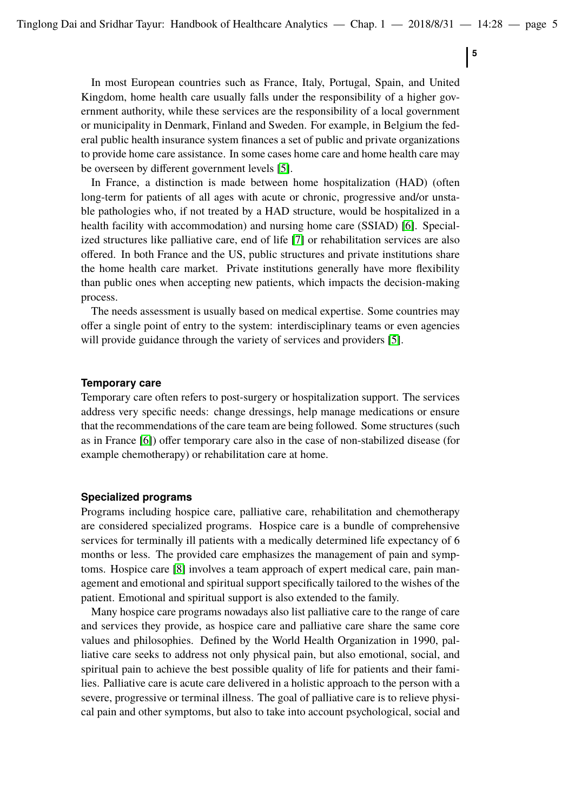In most European countries such as France, Italy, Portugal, Spain, and United Kingdom, home health care usually falls under the responsibility of a higher government authority, while these services are the responsibility of a local government or municipality in Denmark, Finland and Sweden. For example, in Belgium the federal public health insurance system finances a set of public and private organizations to provide home care assistance. In some cases home care and home health care may be overseen by different government levels [\[5\]](#page-24-4).

In France, a distinction is made between home hospitalization (HAD) (often long-term for patients of all ages with acute or chronic, progressive and/or unstable pathologies who, if not treated by a HAD structure, would be hospitalized in a health facility with accommodation) and nursing home care (SSIAD) [\[6\]](#page-24-5). Specialized structures like palliative care, end of life [\[7\]](#page-24-6) or rehabilitation services are also offered. In both France and the US, public structures and private institutions share the home health care market. Private institutions generally have more flexibility than public ones when accepting new patients, which impacts the decision-making process.

The needs assessment is usually based on medical expertise. Some countries may offer a single point of entry to the system: interdisciplinary teams or even agencies will provide guidance through the variety of services and providers [\[5\]](#page-24-4).

#### **Temporary care**

Temporary care often refers to post-surgery or hospitalization support. The services address very specific needs: change dressings, help manage medications or ensure that the recommendations of the care team are being followed. Some structures (such as in France [\[6\]](#page-24-5)) offer temporary care also in the case of non-stabilized disease (for example chemotherapy) or rehabilitation care at home.

#### **Specialized programs**

Programs including hospice care, palliative care, rehabilitation and chemotherapy are considered specialized programs. Hospice care is a bundle of comprehensive services for terminally ill patients with a medically determined life expectancy of 6 months or less. The provided care emphasizes the management of pain and symptoms. Hospice care [\[8\]](#page-24-7) involves a team approach of expert medical care, pain management and emotional and spiritual support specifically tailored to the wishes of the patient. Emotional and spiritual support is also extended to the family.

Many hospice care programs nowadays also list palliative care to the range of care and services they provide, as hospice care and palliative care share the same core values and philosophies. Defined by the World Health Organization in 1990, palliative care seeks to address not only physical pain, but also emotional, social, and spiritual pain to achieve the best possible quality of life for patients and their families. Palliative care is acute care delivered in a holistic approach to the person with a severe, progressive or terminal illness. The goal of palliative care is to relieve physical pain and other symptoms, but also to take into account psychological, social and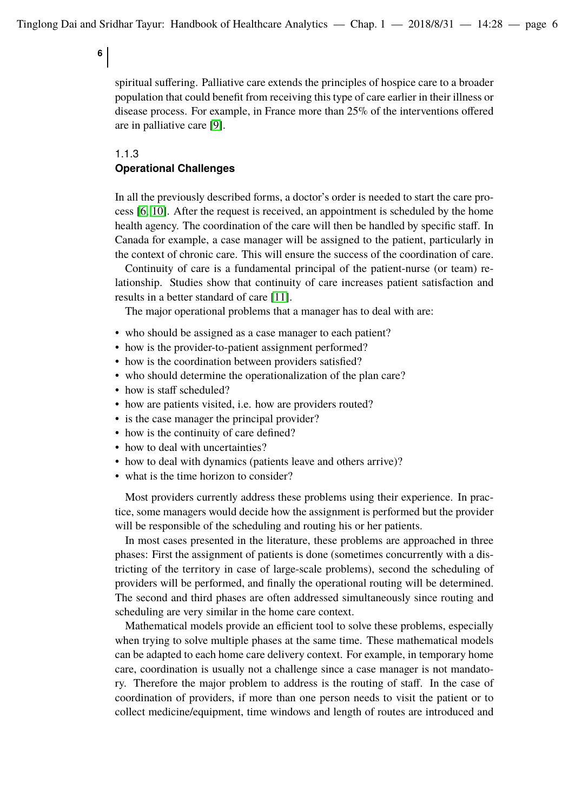spiritual suffering. Palliative care extends the principles of hospice care to a broader population that could benefit from receiving this type of care earlier in their illness or disease process. For example, in France more than 25% of the interventions offered are in palliative care [\[9\]](#page-24-8).

## <span id="page-5-0"></span>1.1.3 **Operational Challenges**

In all the previously described forms, a doctor's order is needed to start the care process [\[6,](#page-24-5) [10\]](#page-24-9). After the request is received, an appointment is scheduled by the home health agency. The coordination of the care will then be handled by specific staff. In Canada for example, a case manager will be assigned to the patient, particularly in the context of chronic care. This will ensure the success of the coordination of care.

Continuity of care is a fundamental principal of the patient-nurse (or team) relationship. Studies show that continuity of care increases patient satisfaction and results in a better standard of care [\[11\]](#page-24-10).

The major operational problems that a manager has to deal with are:

- who should be assigned as a case manager to each patient?
- how is the provider-to-patient assignment performed?
- how is the coordination between providers satisfied?
- who should determine the operationalization of the plan care?
- how is staff scheduled?
- how are patients visited, i.e. how are providers routed?
- is the case manager the principal provider?
- how is the continuity of care defined?
- how to deal with uncertainties?
- how to deal with dynamics (patients leave and others arrive)?
- what is the time horizon to consider?

Most providers currently address these problems using their experience. In practice, some managers would decide how the assignment is performed but the provider will be responsible of the scheduling and routing his or her patients.

In most cases presented in the literature, these problems are approached in three phases: First the assignment of patients is done (sometimes concurrently with a districting of the territory in case of large-scale problems), second the scheduling of providers will be performed, and finally the operational routing will be determined. The second and third phases are often addressed simultaneously since routing and scheduling are very similar in the home care context.

Mathematical models provide an efficient tool to solve these problems, especially when trying to solve multiple phases at the same time. These mathematical models can be adapted to each home care delivery context. For example, in temporary home care, coordination is usually not a challenge since a case manager is not mandatory. Therefore the major problem to address is the routing of staff. In the case of coordination of providers, if more than one person needs to visit the patient or to collect medicine/equipment, time windows and length of routes are introduced and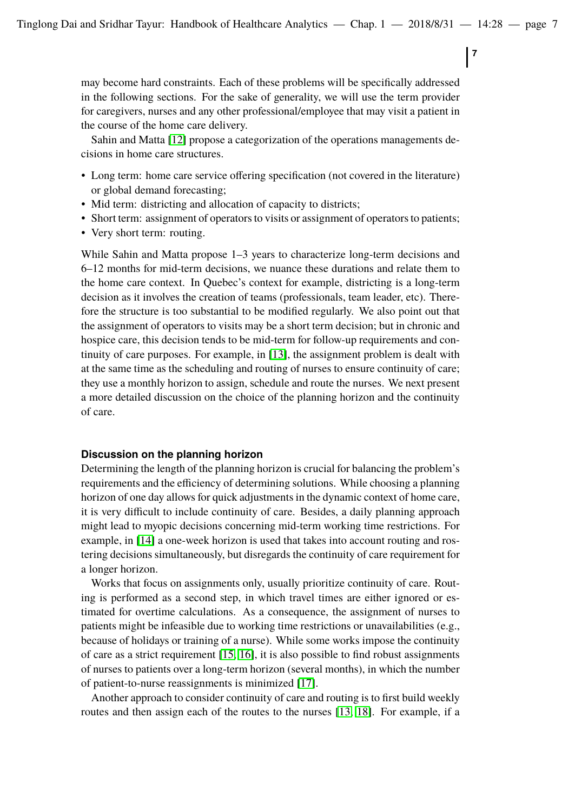may become hard constraints. Each of these problems will be specifically addressed in the following sections. For the sake of generality, we will use the term provider for caregivers, nurses and any other professional/employee that may visit a patient in the course of the home care delivery.

Sahin and Matta [\[12\]](#page-24-11) propose a categorization of the operations managements decisions in home care structures.

- Long term: home care service offering specification (not covered in the literature) or global demand forecasting;
- Mid term: districting and allocation of capacity to districts;
- Short term: assignment of operators to visits or assignment of operators to patients;
- Very short term: routing.

While Sahin and Matta propose 1–3 years to characterize long-term decisions and 6–12 months for mid-term decisions, we nuance these durations and relate them to the home care context. In Quebec's context for example, districting is a long-term decision as it involves the creation of teams (professionals, team leader, etc). Therefore the structure is too substantial to be modified regularly. We also point out that the assignment of operators to visits may be a short term decision; but in chronic and hospice care, this decision tends to be mid-term for follow-up requirements and continuity of care purposes. For example, in [\[13\]](#page-24-12), the assignment problem is dealt with at the same time as the scheduling and routing of nurses to ensure continuity of care; they use a monthly horizon to assign, schedule and route the nurses. We next present a more detailed discussion on the choice of the planning horizon and the continuity of care.

#### **Discussion on the planning horizon**

Determining the length of the planning horizon is crucial for balancing the problem's requirements and the efficiency of determining solutions. While choosing a planning horizon of one day allows for quick adjustments in the dynamic context of home care, it is very difficult to include continuity of care. Besides, a daily planning approach might lead to myopic decisions concerning mid-term working time restrictions. For example, in [\[14\]](#page-24-13) a one-week horizon is used that takes into account routing and rostering decisions simultaneously, but disregards the continuity of care requirement for a longer horizon.

Works that focus on assignments only, usually prioritize continuity of care. Routing is performed as a second step, in which travel times are either ignored or estimated for overtime calculations. As a consequence, the assignment of nurses to patients might be infeasible due to working time restrictions or unavailabilities (e.g., because of holidays or training of a nurse). While some works impose the continuity of care as a strict requirement [\[15,](#page-24-14) [16\]](#page-24-15), it is also possible to find robust assignments of nurses to patients over a long-term horizon (several months), in which the number of patient-to-nurse reassignments is minimized [\[17\]](#page-24-16).

Another approach to consider continuity of care and routing is to first build weekly routes and then assign each of the routes to the nurses [\[13,](#page-24-12) [18\]](#page-24-17). For example, if a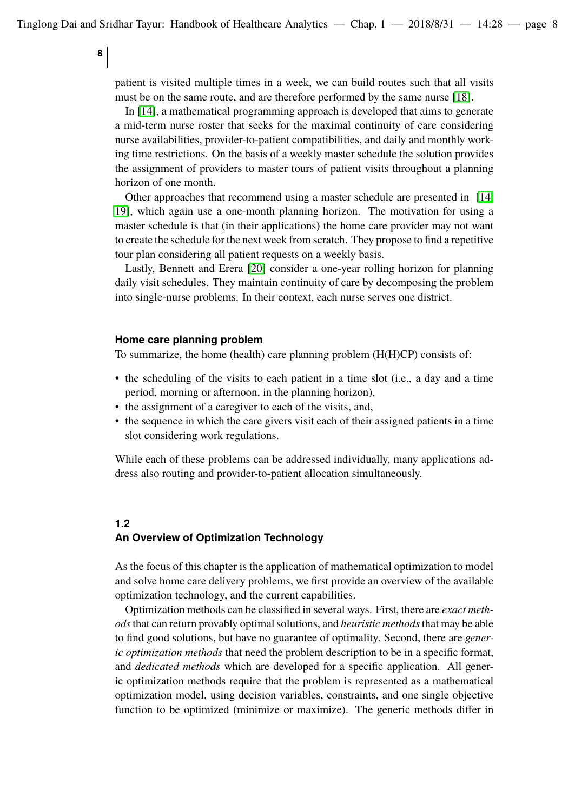patient is visited multiple times in a week, we can build routes such that all visits must be on the same route, and are therefore performed by the same nurse [\[18\]](#page-24-17).

In [\[14\]](#page-24-13), a mathematical programming approach is developed that aims to generate a mid-term nurse roster that seeks for the maximal continuity of care considering nurse availabilities, provider-to-patient compatibilities, and daily and monthly working time restrictions. On the basis of a weekly master schedule the solution provides the assignment of providers to master tours of patient visits throughout a planning horizon of one month.

Other approaches that recommend using a master schedule are presented in [\[14,](#page-24-13) [19\]](#page-25-0), which again use a one-month planning horizon. The motivation for using a master schedule is that (in their applications) the home care provider may not want to create the schedule for the next week from scratch. They propose to find a repetitive tour plan considering all patient requests on a weekly basis.

Lastly, Bennett and Erera [\[20\]](#page-25-1) consider a one-year rolling horizon for planning daily visit schedules. They maintain continuity of care by decomposing the problem into single-nurse problems. In their context, each nurse serves one district.

#### **Home care planning problem**

To summarize, the home (health) care planning problem (H(H)CP) consists of:

- the scheduling of the visits to each patient in a time slot (i.e., a day and a time period, morning or afternoon, in the planning horizon),
- the assignment of a caregiver to each of the visits, and,
- the sequence in which the care givers visit each of their assigned patients in a time slot considering work regulations.

While each of these problems can be addressed individually, many applications address also routing and provider-to-patient allocation simultaneously.

#### <span id="page-7-0"></span>**1.2**

#### **An Overview of Optimization Technology**

As the focus of this chapter is the application of mathematical optimization to model and solve home care delivery problems, we first provide an overview of the available optimization technology, and the current capabilities.

Optimization methods can be classified in several ways. First, there are *exact methods*that can return provably optimal solutions, and *heuristic methods*that may be able to find good solutions, but have no guarantee of optimality. Second, there are *generic optimization methods* that need the problem description to be in a specific format, and *dedicated methods* which are developed for a specific application. All generic optimization methods require that the problem is represented as a mathematical optimization model, using decision variables, constraints, and one single objective function to be optimized (minimize or maximize). The generic methods differ in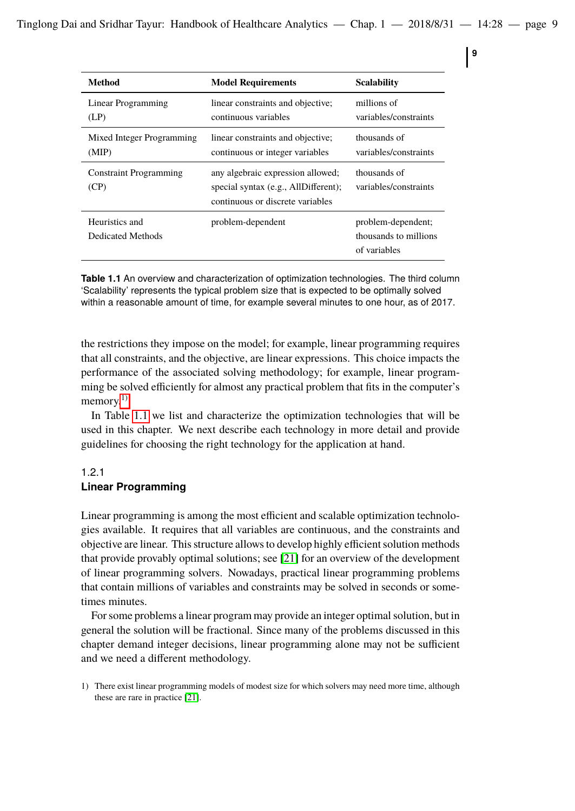<span id="page-8-2"></span>

| Method                                | <b>Model Requirements</b>                                                                                     | <b>Scalability</b>                                          |
|---------------------------------------|---------------------------------------------------------------------------------------------------------------|-------------------------------------------------------------|
| Linear Programming<br>(LP)            | linear constraints and objective;<br>continuous variables                                                     | millions of<br>variables/constraints                        |
| Mixed Integer Programming<br>(MIP)    | linear constraints and objective;<br>continuous or integer variables                                          | thousands of<br>variables/constraints                       |
| <b>Constraint Programming</b><br>(CP) | any algebraic expression allowed;<br>special syntax (e.g., AllDifferent);<br>continuous or discrete variables | thousands of<br>variables/constraints                       |
| Heuristics and<br>Dedicated Methods   | problem-dependent                                                                                             | problem-dependent;<br>thousands to millions<br>of variables |

**Table 1.1** An overview and characterization of optimization technologies. The third column 'Scalability' represents the typical problem size that is expected to be optimally solved within a reasonable amount of time, for example several minutes to one hour, as of 2017.

the restrictions they impose on the model; for example, linear programming requires that all constraints, and the objective, are linear expressions. This choice impacts the performance of the associated solving methodology; for example, linear programming be solved efficiently for almost any practical problem that fits in the computer's memory. $^{1)}$  $^{1)}$  $^{1)}$ 

In Table [1.1](#page-8-2) we list and characterize the optimization technologies that will be used in this chapter. We next describe each technology in more detail and provide guidelines for choosing the right technology for the application at hand.

#### <span id="page-8-0"></span>1.2.1 **Linear Programming**

Linear programming is among the most efficient and scalable optimization technologies available. It requires that all variables are continuous, and the constraints and objective are linear. This structure allows to develop highly efficient solution methods that provide provably optimal solutions; see [\[21\]](#page-25-2) for an overview of the development of linear programming solvers. Nowadays, practical linear programming problems that contain millions of variables and constraints may be solved in seconds or sometimes minutes.

For some problems a linear program may provide an integer optimal solution, but in general the solution will be fractional. Since many of the problems discussed in this chapter demand integer decisions, linear programming alone may not be sufficient and we need a different methodology.

**9**

<span id="page-8-1"></span><sup>1)</sup> There exist linear programming models of modest size for which solvers may need more time, although these are rare in practice [\[21\]](#page-25-2).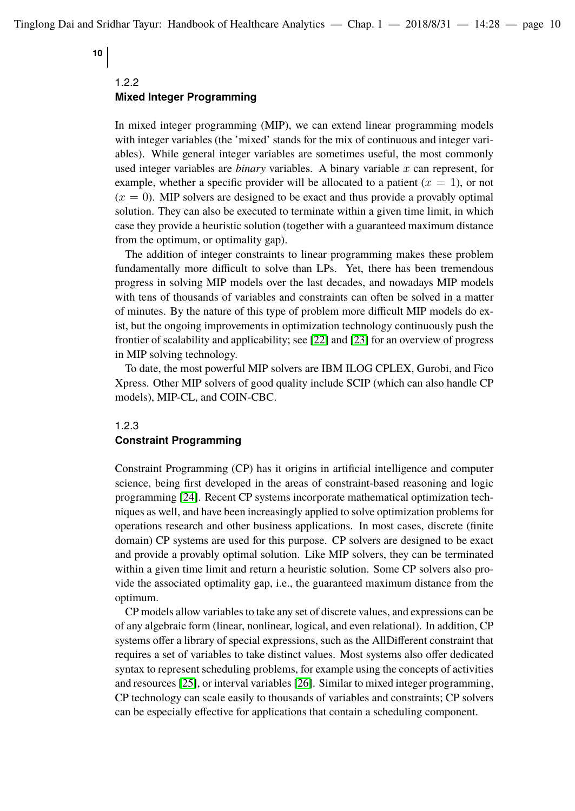## <span id="page-9-0"></span>1.2.2 **Mixed Integer Programming**

In mixed integer programming (MIP), we can extend linear programming models with integer variables (the 'mixed' stands for the mix of continuous and integer variables). While general integer variables are sometimes useful, the most commonly used integer variables are *binary* variables. A binary variable  $x$  can represent, for example, whether a specific provider will be allocated to a patient  $(x = 1)$ , or not  $(x = 0)$ . MIP solvers are designed to be exact and thus provide a provably optimal solution. They can also be executed to terminate within a given time limit, in which case they provide a heuristic solution (together with a guaranteed maximum distance from the optimum, or optimality gap).

The addition of integer constraints to linear programming makes these problem fundamentally more difficult to solve than LPs. Yet, there has been tremendous progress in solving MIP models over the last decades, and nowadays MIP models with tens of thousands of variables and constraints can often be solved in a matter of minutes. By the nature of this type of problem more difficult MIP models do exist, but the ongoing improvements in optimization technology continuously push the frontier of scalability and applicability; see [\[22\]](#page-25-3) and [\[23\]](#page-25-4) for an overview of progress in MIP solving technology.

To date, the most powerful MIP solvers are IBM ILOG CPLEX, Gurobi, and Fico Xpress. Other MIP solvers of good quality include SCIP (which can also handle CP models), MIP-CL, and COIN-CBC.

## <span id="page-9-1"></span>1.2.3

#### **Constraint Programming**

Constraint Programming (CP) has it origins in artificial intelligence and computer science, being first developed in the areas of constraint-based reasoning and logic programming [\[24\]](#page-25-5). Recent CP systems incorporate mathematical optimization techniques as well, and have been increasingly applied to solve optimization problems for operations research and other business applications. In most cases, discrete (finite domain) CP systems are used for this purpose. CP solvers are designed to be exact and provide a provably optimal solution. Like MIP solvers, they can be terminated within a given time limit and return a heuristic solution. Some CP solvers also provide the associated optimality gap, i.e., the guaranteed maximum distance from the optimum.

CP models allow variables to take any set of discrete values, and expressions can be of any algebraic form (linear, nonlinear, logical, and even relational). In addition, CP systems offer a library of special expressions, such as the AllDifferent constraint that requires a set of variables to take distinct values. Most systems also offer dedicated syntax to represent scheduling problems, for example using the concepts of activities and resources [\[25\]](#page-25-6), or interval variables [\[26\]](#page-25-7). Similar to mixed integer programming, CP technology can scale easily to thousands of variables and constraints; CP solvers can be especially effective for applications that contain a scheduling component.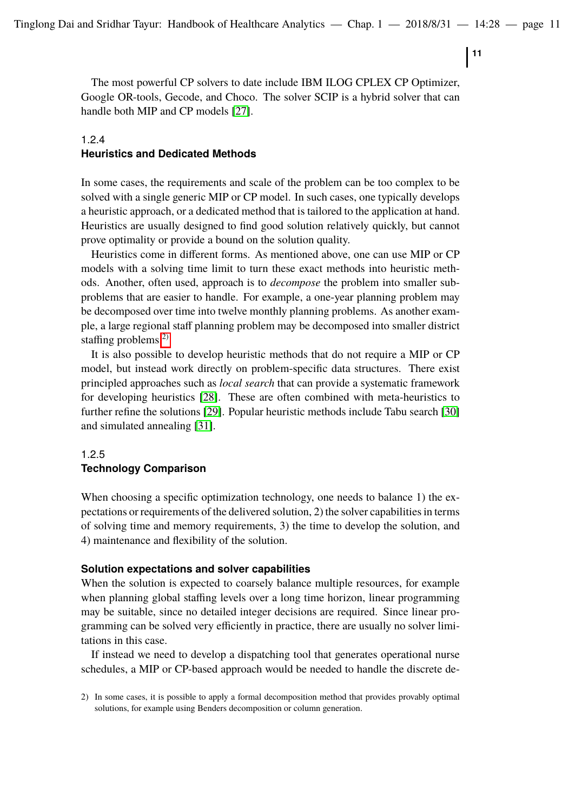The most powerful CP solvers to date include IBM ILOG CPLEX CP Optimizer, Google OR-tools, Gecode, and Choco. The solver SCIP is a hybrid solver that can handle both MIP and CP models [\[27\]](#page-25-8).

## <span id="page-10-0"></span>1.2.4 **Heuristics and Dedicated Methods**

In some cases, the requirements and scale of the problem can be too complex to be solved with a single generic MIP or CP model. In such cases, one typically develops a heuristic approach, or a dedicated method that is tailored to the application at hand. Heuristics are usually designed to find good solution relatively quickly, but cannot prove optimality or provide a bound on the solution quality.

Heuristics come in different forms. As mentioned above, one can use MIP or CP models with a solving time limit to turn these exact methods into heuristic methods. Another, often used, approach is to *decompose* the problem into smaller subproblems that are easier to handle. For example, a one-year planning problem may be decomposed over time into twelve monthly planning problems. As another example, a large regional staff planning problem may be decomposed into smaller district staffing problems.<sup>[2\)](#page-10-2)</sup>

It is also possible to develop heuristic methods that do not require a MIP or CP model, but instead work directly on problem-specific data structures. There exist principled approaches such as *local search* that can provide a systematic framework for developing heuristics [\[28\]](#page-25-9). These are often combined with meta-heuristics to further refine the solutions [\[29\]](#page-25-10). Popular heuristic methods include Tabu search [\[30\]](#page-25-11) and simulated annealing [\[31\]](#page-25-12).

# <span id="page-10-1"></span>1.2.5

## **Technology Comparison**

When choosing a specific optimization technology, one needs to balance 1) the expectations or requirements of the delivered solution, 2) the solver capabilities in terms of solving time and memory requirements, 3) the time to develop the solution, and 4) maintenance and flexibility of the solution.

#### **Solution expectations and solver capabilities**

When the solution is expected to coarsely balance multiple resources, for example when planning global staffing levels over a long time horizon, linear programming may be suitable, since no detailed integer decisions are required. Since linear programming can be solved very efficiently in practice, there are usually no solver limitations in this case.

If instead we need to develop a dispatching tool that generates operational nurse schedules, a MIP or CP-based approach would be needed to handle the discrete de-

<span id="page-10-2"></span><sup>2)</sup> In some cases, it is possible to apply a formal decomposition method that provides provably optimal solutions, for example using Benders decomposition or column generation.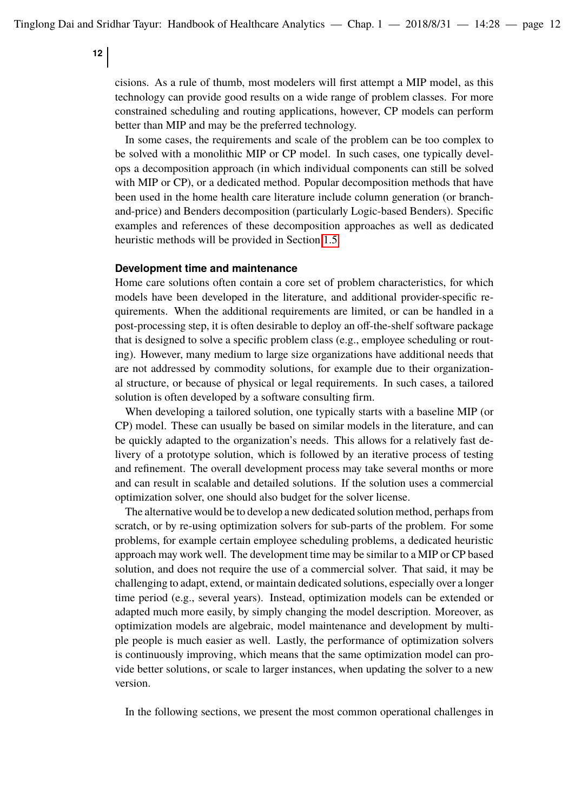cisions. As a rule of thumb, most modelers will first attempt a MIP model, as this technology can provide good results on a wide range of problem classes. For more constrained scheduling and routing applications, however, CP models can perform better than MIP and may be the preferred technology.

In some cases, the requirements and scale of the problem can be too complex to be solved with a monolithic MIP or CP model. In such cases, one typically develops a decomposition approach (in which individual components can still be solved with MIP or CP), or a dedicated method. Popular decomposition methods that have been used in the home health care literature include column generation (or branchand-price) and Benders decomposition (particularly Logic-based Benders). Specific examples and references of these decomposition approaches as well as dedicated heuristic methods will be provided in Section [1.5.](#page-17-1)

#### **Development time and maintenance**

Home care solutions often contain a core set of problem characteristics, for which models have been developed in the literature, and additional provider-specific requirements. When the additional requirements are limited, or can be handled in a post-processing step, it is often desirable to deploy an off-the-shelf software package that is designed to solve a specific problem class (e.g., employee scheduling or routing). However, many medium to large size organizations have additional needs that are not addressed by commodity solutions, for example due to their organizational structure, or because of physical or legal requirements. In such cases, a tailored solution is often developed by a software consulting firm.

When developing a tailored solution, one typically starts with a baseline MIP (or CP) model. These can usually be based on similar models in the literature, and can be quickly adapted to the organization's needs. This allows for a relatively fast delivery of a prototype solution, which is followed by an iterative process of testing and refinement. The overall development process may take several months or more and can result in scalable and detailed solutions. If the solution uses a commercial optimization solver, one should also budget for the solver license.

The alternative would be to develop a new dedicated solution method, perhaps from scratch, or by re-using optimization solvers for sub-parts of the problem. For some problems, for example certain employee scheduling problems, a dedicated heuristic approach may work well. The development time may be similar to a MIP or CP based solution, and does not require the use of a commercial solver. That said, it may be challenging to adapt, extend, or maintain dedicated solutions, especially over a longer time period (e.g., several years). Instead, optimization models can be extended or adapted much more easily, by simply changing the model description. Moreover, as optimization models are algebraic, model maintenance and development by multiple people is much easier as well. Lastly, the performance of optimization solvers is continuously improving, which means that the same optimization model can provide better solutions, or scale to larger instances, when updating the solver to a new version.

In the following sections, we present the most common operational challenges in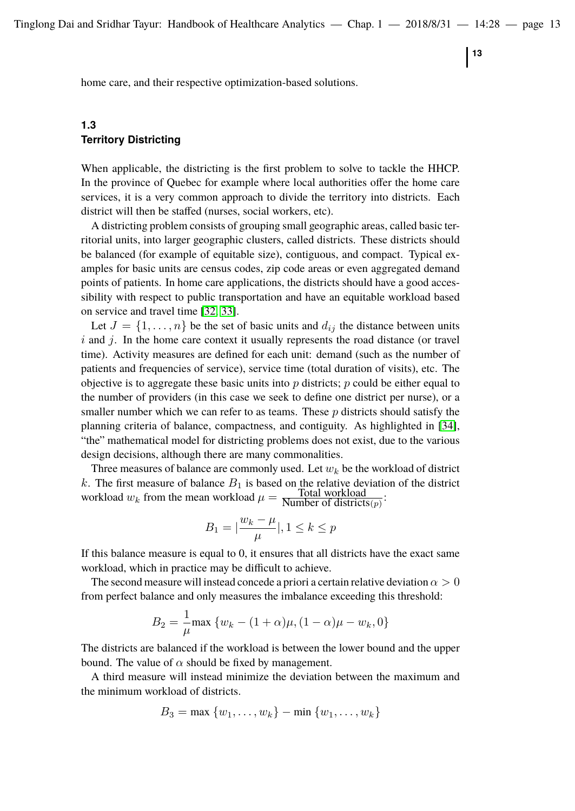home care, and their respective optimization-based solutions.

## <span id="page-12-0"></span>**1.3 Territory Districting**

When applicable, the districting is the first problem to solve to tackle the HHCP. In the province of Quebec for example where local authorities offer the home care services, it is a very common approach to divide the territory into districts. Each district will then be staffed (nurses, social workers, etc).

A districting problem consists of grouping small geographic areas, called basic territorial units, into larger geographic clusters, called districts. These districts should be balanced (for example of equitable size), contiguous, and compact. Typical examples for basic units are census codes, zip code areas or even aggregated demand points of patients. In home care applications, the districts should have a good accessibility with respect to public transportation and have an equitable workload based on service and travel time [\[32,](#page-25-13) [33\]](#page-25-14).

Let  $J = \{1, \ldots, n\}$  be the set of basic units and  $d_{ij}$  the distance between units  $i$  and  $j$ . In the home care context it usually represents the road distance (or travel time). Activity measures are defined for each unit: demand (such as the number of patients and frequencies of service), service time (total duration of visits), etc. The objective is to aggregate these basic units into  $p$  districts;  $p$  could be either equal to the number of providers (in this case we seek to define one district per nurse), or a smaller number which we can refer to as teams. These  $p$  districts should satisfy the planning criteria of balance, compactness, and contiguity. As highlighted in [\[34\]](#page-25-15), "the" mathematical model for districting problems does not exist, due to the various design decisions, although there are many commonalities.

Three measures of balance are commonly used. Let  $w_k$  be the workload of district k. The first measure of balance  $B_1$  is based on the relative deviation of the district workload  $w_k$  from the mean workload  $\mu = \frac{\text{Total workload}}{\text{Number of district}}$  $\frac{10 \text{tan} \text{ workload}}{\text{Number of districts}(p)}$ :

$$
B_1 = |\frac{w_k - \mu}{\mu}|, 1 \le k \le p
$$

If this balance measure is equal to 0, it ensures that all districts have the exact same workload, which in practice may be difficult to achieve.

The second measure will instead concede a priori a certain relative deviation  $\alpha > 0$ from perfect balance and only measures the imbalance exceeding this threshold:

$$
B_2 = \frac{1}{\mu} \max \{ w_k - (1 + \alpha)\mu, (1 - \alpha)\mu - w_k, 0 \}
$$

The districts are balanced if the workload is between the lower bound and the upper bound. The value of  $\alpha$  should be fixed by management.

A third measure will instead minimize the deviation between the maximum and the minimum workload of districts.

$$
B_3 = \max \{w_1, \dots, w_k\} - \min \{w_1, \dots, w_k\}
$$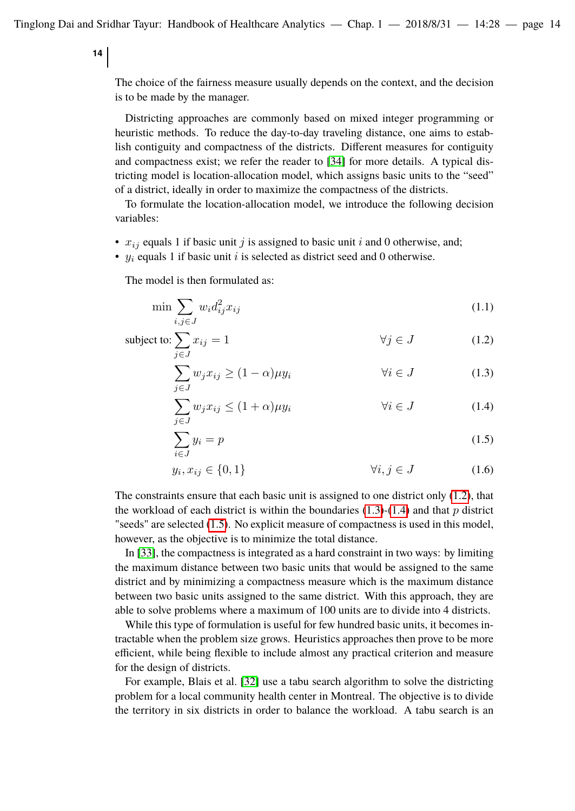The choice of the fairness measure usually depends on the context, and the decision is to be made by the manager.

Districting approaches are commonly based on mixed integer programming or heuristic methods. To reduce the day-to-day traveling distance, one aims to establish contiguity and compactness of the districts. Different measures for contiguity and compactness exist; we refer the reader to [\[34\]](#page-25-15) for more details. A typical districting model is location-allocation model, which assigns basic units to the "seed" of a district, ideally in order to maximize the compactness of the districts.

To formulate the location-allocation model, we introduce the following decision variables:

- $x_{ij}$  equals 1 if basic unit j is assigned to basic unit i and 0 otherwise, and;
- $y_i$  equals 1 if basic unit i is selected as district seed and 0 otherwise.

The model is then formulated as:

$$
\min \sum_{i,j \in J} w_i d_{ij}^2 x_{ij} \tag{1.1}
$$

subject to: 
$$
\sum_{j \in J} x_{ij} = 1 \qquad \forall j \in J \qquad (1.2)
$$

<span id="page-13-1"></span><span id="page-13-0"></span>
$$
\sum_{j \in J} w_j x_{ij} \ge (1 - \alpha) \mu y_i \qquad \forall i \in J \tag{1.3}
$$

<span id="page-13-3"></span><span id="page-13-2"></span>
$$
\sum_{j \in J} w_j x_{ij} \le (1 + \alpha) \mu y_i \qquad \forall i \in J \tag{1.4}
$$

$$
\sum_{i \in J} y_i = p \tag{1.5}
$$

$$
y_i, x_{ij} \in \{0, 1\} \qquad \qquad \forall i, j \in J \tag{1.6}
$$

The constraints ensure that each basic unit is assigned to one district only [\(1.2\)](#page-13-0), that the workload of each district is within the boundaries  $(1.3)-(1.4)$  $(1.3)-(1.4)$  $(1.3)-(1.4)$  and that p district "seeds" are selected [\(1.5\)](#page-13-3). No explicit measure of compactness is used in this model, however, as the objective is to minimize the total distance.

In [\[33\]](#page-25-14), the compactness is integrated as a hard constraint in two ways: by limiting the maximum distance between two basic units that would be assigned to the same district and by minimizing a compactness measure which is the maximum distance between two basic units assigned to the same district. With this approach, they are able to solve problems where a maximum of 100 units are to divide into 4 districts.

While this type of formulation is useful for few hundred basic units, it becomes intractable when the problem size grows. Heuristics approaches then prove to be more efficient, while being flexible to include almost any practical criterion and measure for the design of districts.

For example, Blais et al. [\[32\]](#page-25-13) use a tabu search algorithm to solve the districting problem for a local community health center in Montreal. The objective is to divide the territory in six districts in order to balance the workload. A tabu search is an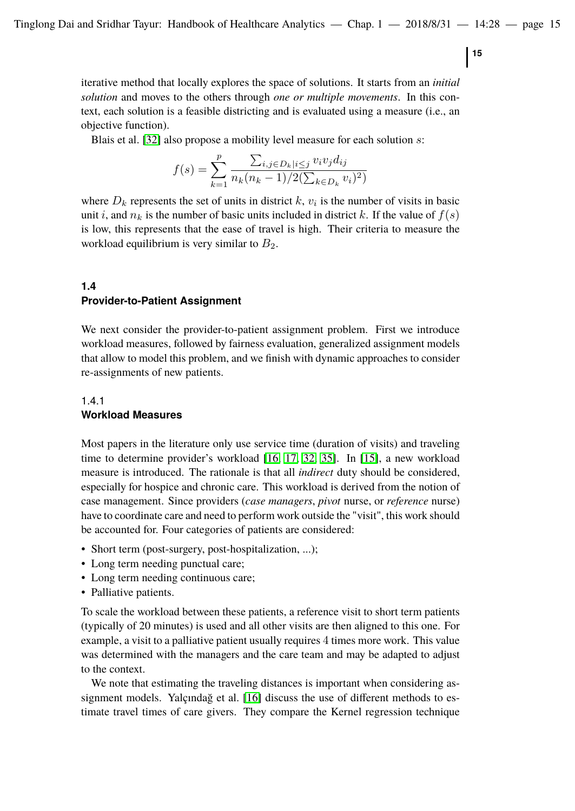iterative method that locally explores the space of solutions. It starts from an *initial solution* and moves to the others through *one or multiple movements*. In this context, each solution is a feasible districting and is evaluated using a measure (i.e., an objective function).

Blais et al. [\[32\]](#page-25-13) also propose a mobility level measure for each solution s:

$$
f(s) = \sum_{k=1}^{p} \frac{\sum_{i,j \in D_k | i \leq j} v_i v_j d_{ij}}{n_k (n_k - 1)/2(\sum_{k \in D_k} v_i)^2)}
$$

where  $D_k$  represents the set of units in district k,  $v_i$  is the number of visits in basic unit i, and  $n_k$  is the number of basic units included in district k. If the value of  $f(s)$ is low, this represents that the ease of travel is high. Their criteria to measure the workload equilibrium is very similar to  $B_2$ .

#### <span id="page-14-0"></span>**1.4 Provider-to-Patient Assignment**

We next consider the provider-to-patient assignment problem. First we introduce workload measures, followed by fairness evaluation, generalized assignment models that allow to model this problem, and we finish with dynamic approaches to consider re-assignments of new patients.

## <span id="page-14-1"></span>1.4.1 **Workload Measures**

Most papers in the literature only use service time (duration of visits) and traveling time to determine provider's workload [\[16,](#page-24-15) [17,](#page-24-16) [32,](#page-25-13) [35\]](#page-25-16). In [\[15\]](#page-24-14), a new workload measure is introduced. The rationale is that all *indirect* duty should be considered, especially for hospice and chronic care. This workload is derived from the notion of case management. Since providers (*case managers*, *pivot* nurse, or *reference* nurse) have to coordinate care and need to perform work outside the "visit", this work should be accounted for. Four categories of patients are considered:

- Short term (post-surgery, post-hospitalization, ...);
- Long term needing punctual care;
- Long term needing continuous care;
- Palliative patients.

To scale the workload between these patients, a reference visit to short term patients (typically of 20 minutes) is used and all other visits are then aligned to this one. For example, a visit to a palliative patient usually requires 4 times more work. This value was determined with the managers and the care team and may be adapted to adjust to the context.

We note that estimating the traveling distances is important when considering assignment models. Yalçındağ et al. [\[16\]](#page-24-15) discuss the use of different methods to estimate travel times of care givers. They compare the Kernel regression technique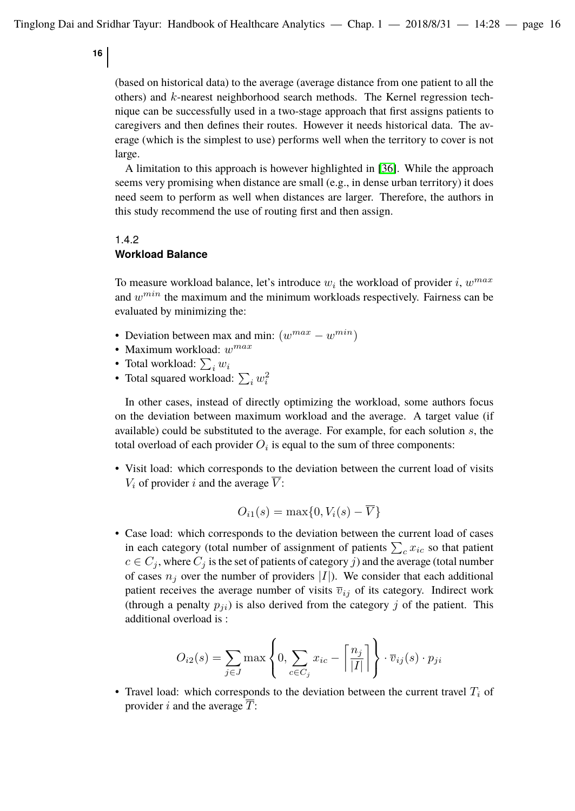(based on historical data) to the average (average distance from one patient to all the others) and k-nearest neighborhood search methods. The Kernel regression technique can be successfully used in a two-stage approach that first assigns patients to caregivers and then defines their routes. However it needs historical data. The average (which is the simplest to use) performs well when the territory to cover is not large.

A limitation to this approach is however highlighted in [\[36\]](#page-25-17). While the approach seems very promising when distance are small (e.g., in dense urban territory) it does need seem to perform as well when distances are larger. Therefore, the authors in this study recommend the use of routing first and then assign.

## <span id="page-15-0"></span>1.4.2

## **Workload Balance**

To measure workload balance, let's introduce  $w_i$  the workload of provider  $i, w^{max}$ and  $w^{min}$  the maximum and the minimum workloads respectively. Fairness can be evaluated by minimizing the:

- Deviation between max and min:  $(w^{max} w^{min})$
- Maximum workload:  $w^{max}$
- Total workload:  $\sum_i w_i$
- Total squared workload:  $\sum_i w_i^2$

In other cases, instead of directly optimizing the workload, some authors focus on the deviation between maximum workload and the average. A target value (if available) could be substituted to the average. For example, for each solution s, the total overload of each provider  $O_i$  is equal to the sum of three components:

• Visit load: which corresponds to the deviation between the current load of visits  $V_i$  of provider i and the average  $\overline{V}$ :

$$
O_{i1}(s) = \max\{0, V_i(s) - \overline{V}\}\
$$

• Case load: which corresponds to the deviation between the current load of cases in each category (total number of assignment of patients  $\sum_{c} x_{ic}$  so that patient  $c \in C_j$ , where  $C_j$  is the set of patients of category j) and the average (total number of cases  $n_i$  over the number of providers  $|I|$ ). We consider that each additional patient receives the average number of visits  $\overline{v}_{ij}$  of its category. Indirect work (through a penalty  $p_{ji}$ ) is also derived from the category j of the patient. This additional overload is :

$$
O_{i2}(s) = \sum_{j \in J} \max \left\{ 0, \sum_{c \in C_j} x_{ic} - \left\lceil \frac{n_j}{|I|} \right\rceil \right\} \cdot \overline{v}_{ij}(s) \cdot p_{ji}
$$

• Travel load: which corresponds to the deviation between the current travel  $T_i$  of provider i and the average  $T$ :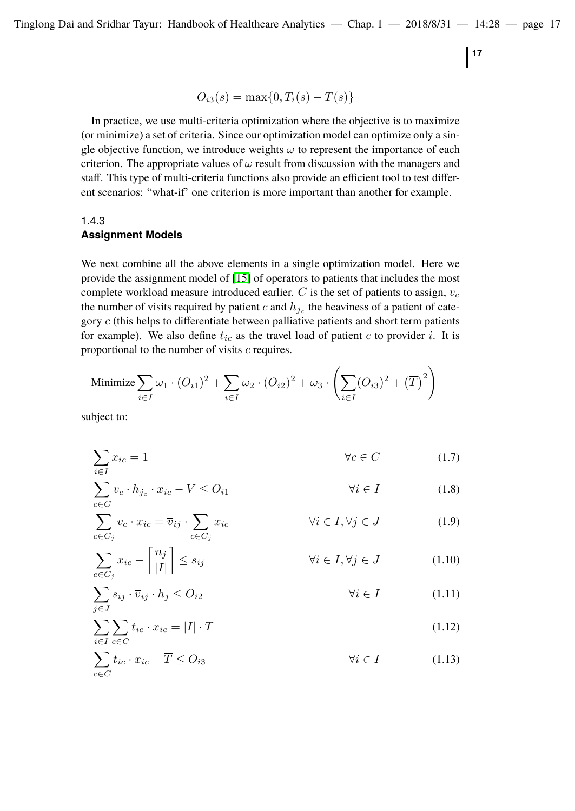$$
O_{i3}(s) = \max\{0, T_i(s) - \overline{T}(s)\}\
$$

In practice, we use multi-criteria optimization where the objective is to maximize (or minimize) a set of criteria. Since our optimization model can optimize only a single objective function, we introduce weights  $\omega$  to represent the importance of each criterion. The appropriate values of  $\omega$  result from discussion with the managers and staff. This type of multi-criteria functions also provide an efficient tool to test different scenarios: "what-if' one criterion is more important than another for example.

#### <span id="page-16-0"></span>1.4.3 **Assignment Models**

We next combine all the above elements in a single optimization model. Here we provide the assignment model of [\[15\]](#page-24-14) of operators to patients that includes the most complete workload measure introduced earlier.  $C$  is the set of patients to assign,  $v_c$ the number of visits required by patient c and  $h_{j_c}$  the heaviness of a patient of category c (this helps to differentiate between palliative patients and short term patients for example). We also define  $t_{ic}$  as the travel load of patient c to provider i. It is proportional to the number of visits  $c$  requires.

Minimize 
$$
\sum_{i \in I} \omega_1 \cdot (O_{i1})^2 + \sum_{i \in I} \omega_2 \cdot (O_{i2})^2 + \omega_3 \cdot \left(\sum_{i \in I} (O_{i3})^2 + (\overline{T})^2\right)
$$

subject to:

<span id="page-16-1"></span>
$$
\sum_{i \in I} x_{ic} = 1 \qquad \qquad \forall c \in C \tag{1.7}
$$

<span id="page-16-2"></span>
$$
\sum_{c \in C} v_c \cdot h_{j_c} \cdot x_{ic} - \overline{V} \le O_{i1} \qquad \forall i \in I \tag{1.8}
$$

<span id="page-16-3"></span>
$$
\sum_{c \in C_j} v_c \cdot x_{ic} = \overline{v}_{ij} \cdot \sum_{c \in C_j} x_{ic} \qquad \forall i \in I, \forall j \in J \qquad (1.9)
$$

$$
\sum_{c \in C_j} x_{ic} - \left\lceil \frac{n_j}{|I|} \right\rceil \le s_{ij} \qquad \forall i \in I, \forall j \in J \qquad (1.10)
$$

<span id="page-16-4"></span>
$$
\sum_{j \in J} s_{ij} \cdot \overline{v}_{ij} \cdot h_j \le O_{i2} \qquad \forall i \in I \tag{1.11}
$$

<span id="page-16-5"></span>
$$
\sum_{i \in I} \sum_{c \in C} t_{ic} \cdot x_{ic} = |I| \cdot \overline{T}
$$
\n(1.12)

<span id="page-16-6"></span>
$$
\sum_{c \in C} t_{ic} \cdot x_{ic} - \overline{T} \le O_{i3} \qquad \forall i \in I \tag{1.13}
$$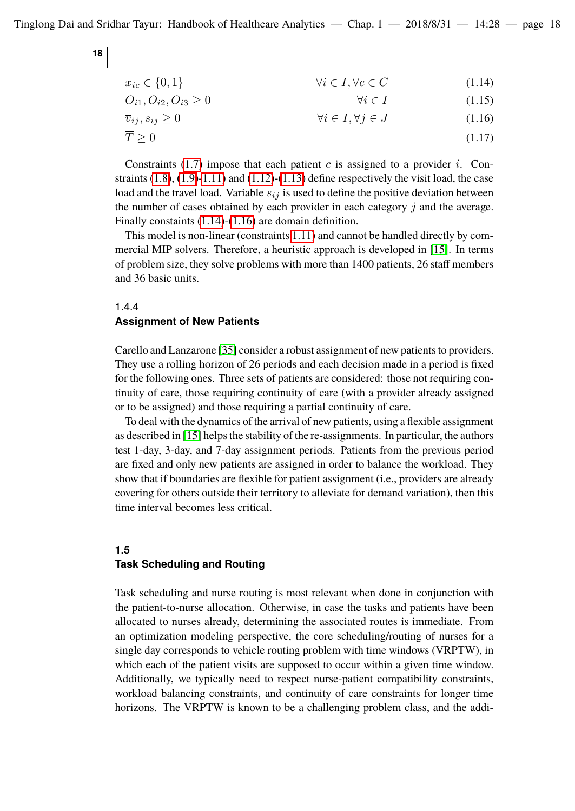| $x_{ic} \in \{0, 1\}$ | $\forall i \in I, \forall c \in C$ | (1.14) |
|-----------------------|------------------------------------|--------|
|-----------------------|------------------------------------|--------|

<span id="page-17-3"></span><span id="page-17-2"></span>
$$
\forall i \in I \tag{1.15}
$$

$$
\forall i \in I, \forall j \in J \tag{1.16}
$$

 $T \ge 0$  (1.17)

Constraints [\(1.7\)](#page-16-1) impose that each patient c is assigned to a provider i. Constraints  $(1.8)$ ,  $(1.9)$ [-1.11\)](#page-16-4) and  $(1.12)$ - $(1.13)$  define respectively the visit load, the case load and the travel load. Variable  $s_{ij}$  is used to define the positive deviation between the number of cases obtained by each provider in each category  $j$  and the average. Finally constaints [\(1.14\)](#page-17-2)-[\(1.16\)](#page-17-3) are domain definition.

This model is non-linear (constraints [1.11\)](#page-16-4) and cannot be handled directly by commercial MIP solvers. Therefore, a heuristic approach is developed in [\[15\]](#page-24-14). In terms of problem size, they solve problems with more than 1400 patients, 26 staff members and 36 basic units.

# <span id="page-17-0"></span>1.4.4

 $O_{i1}, O_{i2}, O_{i3} \geq 0$ 

 $\overline{v}_{ij}, s_{ij} \geq$ 

## **Assignment of New Patients**

Carello and Lanzarone [\[35\]](#page-25-16) consider a robust assignment of new patients to providers. They use a rolling horizon of 26 periods and each decision made in a period is fixed for the following ones. Three sets of patients are considered: those not requiring continuity of care, those requiring continuity of care (with a provider already assigned or to be assigned) and those requiring a partial continuity of care.

To deal with the dynamics of the arrival of new patients, using a flexible assignment as described in [\[15\]](#page-24-14) helps the stability of the re-assignments. In particular, the authors test 1-day, 3-day, and 7-day assignment periods. Patients from the previous period are fixed and only new patients are assigned in order to balance the workload. They show that if boundaries are flexible for patient assignment (i.e., providers are already covering for others outside their territory to alleviate for demand variation), then this time interval becomes less critical.

#### <span id="page-17-1"></span>**1.5 Task Scheduling and Routing**

Task scheduling and nurse routing is most relevant when done in conjunction with the patient-to-nurse allocation. Otherwise, in case the tasks and patients have been allocated to nurses already, determining the associated routes is immediate. From an optimization modeling perspective, the core scheduling/routing of nurses for a single day corresponds to vehicle routing problem with time windows (VRPTW), in which each of the patient visits are supposed to occur within a given time window. Additionally, we typically need to respect nurse-patient compatibility constraints, workload balancing constraints, and continuity of care constraints for longer time horizons. The VRPTW is known to be a challenging problem class, and the addi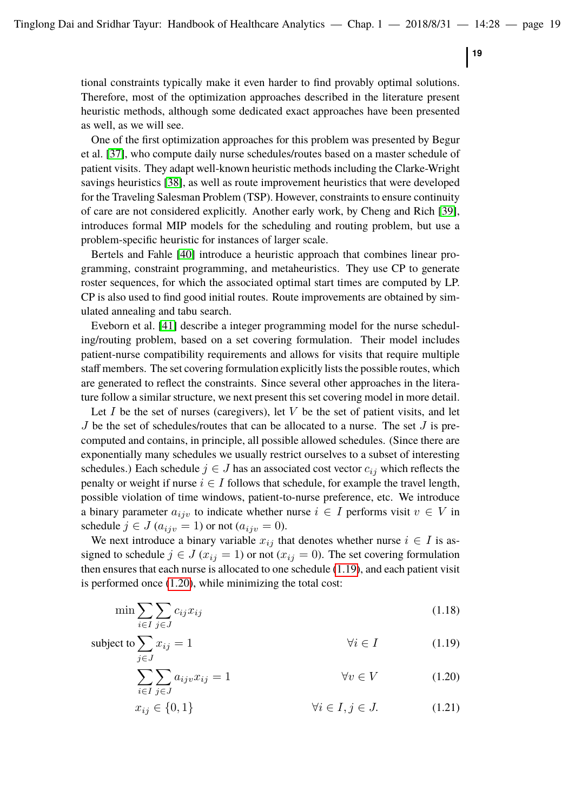tional constraints typically make it even harder to find provably optimal solutions. Therefore, most of the optimization approaches described in the literature present heuristic methods, although some dedicated exact approaches have been presented as well, as we will see.

One of the first optimization approaches for this problem was presented by Begur et al. [\[37\]](#page-25-18), who compute daily nurse schedules/routes based on a master schedule of patient visits. They adapt well-known heuristic methods including the Clarke-Wright savings heuristics [\[38\]](#page-25-19), as well as route improvement heuristics that were developed for the Traveling Salesman Problem (TSP). However, constraints to ensure continuity of care are not considered explicitly. Another early work, by Cheng and Rich [\[39\]](#page-25-20), introduces formal MIP models for the scheduling and routing problem, but use a problem-specific heuristic for instances of larger scale.

Bertels and Fahle [\[40\]](#page-25-21) introduce a heuristic approach that combines linear programming, constraint programming, and metaheuristics. They use CP to generate roster sequences, for which the associated optimal start times are computed by LP. CP is also used to find good initial routes. Route improvements are obtained by simulated annealing and tabu search.

Eveborn et al. [\[41\]](#page-25-22) describe a integer programming model for the nurse scheduling/routing problem, based on a set covering formulation. Their model includes patient-nurse compatibility requirements and allows for visits that require multiple staff members. The set covering formulation explicitly lists the possible routes, which are generated to reflect the constraints. Since several other approaches in the literature follow a similar structure, we next present this set covering model in more detail.

Let  $I$  be the set of nurses (caregivers), let  $V$  be the set of patient visits, and let  $J$  be the set of schedules/routes that can be allocated to a nurse. The set  $J$  is precomputed and contains, in principle, all possible allowed schedules. (Since there are exponentially many schedules we usually restrict ourselves to a subset of interesting schedules.) Each schedule  $j \in J$  has an associated cost vector  $c_{ij}$  which reflects the penalty or weight if nurse  $i \in I$  follows that schedule, for example the travel length, possible violation of time windows, patient-to-nurse preference, etc. We introduce a binary parameter  $a_{ijy}$  to indicate whether nurse  $i \in I$  performs visit  $v \in V$  in schedule  $j \in J$  ( $a_{ijv} = 1$ ) or not ( $a_{ijv} = 0$ ).

We next introduce a binary variable  $x_{ij}$  that denotes whether nurse  $i \in I$  is assigned to schedule  $j \in J$  ( $x_{ij} = 1$ ) or not ( $x_{ij} = 0$ ). The set covering formulation then ensures that each nurse is allocated to one schedule [\(1.19\)](#page-18-0), and each patient visit is performed once [\(1.20\)](#page-18-1), while minimizing the total cost:

$$
\min \sum_{i \in I} \sum_{j \in J} c_{ij} x_{ij} \tag{1.18}
$$

subject to 
$$
\sum_{j \in J} x_{ij} = 1 \qquad \forall i \in I \qquad (1.19)
$$

<span id="page-18-1"></span><span id="page-18-0"></span>
$$
\sum_{i \in I} \sum_{j \in J} a_{ijv} x_{ij} = 1 \qquad \qquad \forall v \in V \tag{1.20}
$$

$$
x_{ij} \in \{0, 1\} \qquad \qquad \forall i \in I, j \in J. \tag{1.21}
$$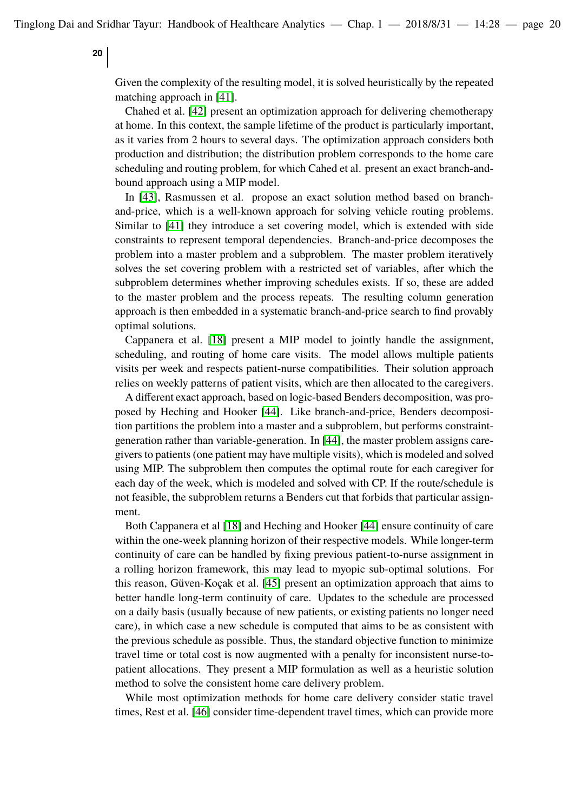Given the complexity of the resulting model, it is solved heuristically by the repeated matching approach in [\[41\]](#page-25-22).

Chahed et al. [\[42\]](#page-25-23) present an optimization approach for delivering chemotherapy at home. In this context, the sample lifetime of the product is particularly important, as it varies from 2 hours to several days. The optimization approach considers both production and distribution; the distribution problem corresponds to the home care scheduling and routing problem, for which Cahed et al. present an exact branch-andbound approach using a MIP model.

In [\[43\]](#page-26-0), Rasmussen et al. propose an exact solution method based on branchand-price, which is a well-known approach for solving vehicle routing problems. Similar to [\[41\]](#page-25-22) they introduce a set covering model, which is extended with side constraints to represent temporal dependencies. Branch-and-price decomposes the problem into a master problem and a subproblem. The master problem iteratively solves the set covering problem with a restricted set of variables, after which the subproblem determines whether improving schedules exists. If so, these are added to the master problem and the process repeats. The resulting column generation approach is then embedded in a systematic branch-and-price search to find provably optimal solutions.

Cappanera et al. [\[18\]](#page-24-17) present a MIP model to jointly handle the assignment, scheduling, and routing of home care visits. The model allows multiple patients visits per week and respects patient-nurse compatibilities. Their solution approach relies on weekly patterns of patient visits, which are then allocated to the caregivers.

A different exact approach, based on logic-based Benders decomposition, was proposed by Heching and Hooker [\[44\]](#page-26-1). Like branch-and-price, Benders decomposition partitions the problem into a master and a subproblem, but performs constraintgeneration rather than variable-generation. In [\[44\]](#page-26-1), the master problem assigns caregivers to patients (one patient may have multiple visits), which is modeled and solved using MIP. The subproblem then computes the optimal route for each caregiver for each day of the week, which is modeled and solved with CP. If the route/schedule is not feasible, the subproblem returns a Benders cut that forbids that particular assignment.

Both Cappanera et al [\[18\]](#page-24-17) and Heching and Hooker [\[44\]](#page-26-1) ensure continuity of care within the one-week planning horizon of their respective models. While longer-term continuity of care can be handled by fixing previous patient-to-nurse assignment in a rolling horizon framework, this may lead to myopic sub-optimal solutions. For this reason, Güven-Koçak et al. [\[45\]](#page-26-2) present an optimization approach that aims to better handle long-term continuity of care. Updates to the schedule are processed on a daily basis (usually because of new patients, or existing patients no longer need care), in which case a new schedule is computed that aims to be as consistent with the previous schedule as possible. Thus, the standard objective function to minimize travel time or total cost is now augmented with a penalty for inconsistent nurse-topatient allocations. They present a MIP formulation as well as a heuristic solution method to solve the consistent home care delivery problem.

While most optimization methods for home care delivery consider static travel times, Rest et al. [\[46\]](#page-26-3) consider time-dependent travel times, which can provide more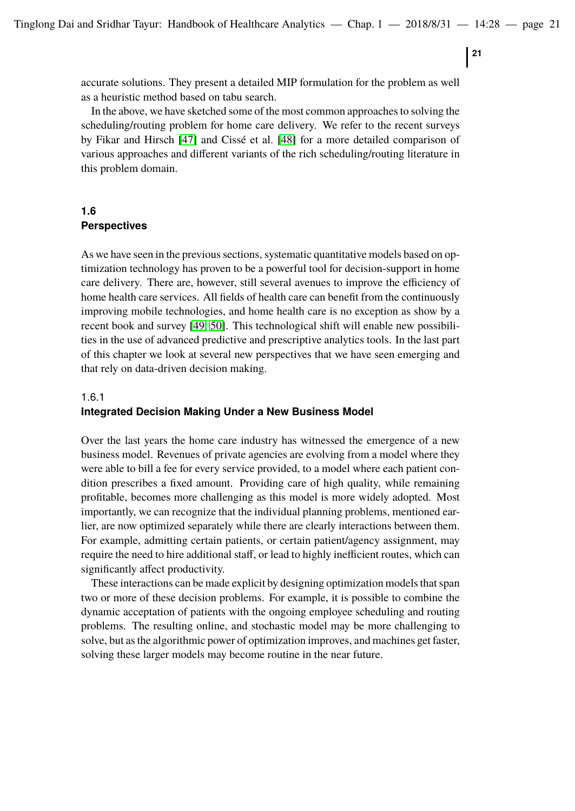accurate solutions. They present a detailed MIP formulation for the problem as well as a heuristic method based on tabu search.

In the above, we have sketched some of the most common approaches to solving the scheduling/routing problem for home care delivery. We refer to the recent surveys by Fikar and Hirsch [\[47\]](#page-26-4) and Cissé et al. [\[48\]](#page-26-5) for a more detailed comparison of various approaches and different variants of the rich scheduling/routing literature in this problem domain.

#### <span id="page-20-0"></span>**1.6 Perspectives**

As we have seen in the previous sections, systematic quantitative models based on optimization technology has proven to be a powerful tool for decision-support in home care delivery. There are, however, still several avenues to improve the efficiency of home health care services. All fields of health care can benefit from the continuously improving mobile technologies, and home health care is no exception as show by a recent book and survey [\[49,](#page-26-6) [50\]](#page-26-7). This technological shift will enable new possibilities in the use of advanced predictive and prescriptive analytics tools. In the last part of this chapter we look at several new perspectives that we have seen emerging and that rely on data-driven decision making.

## <span id="page-20-1"></span>1.6.1 **Integrated Decision Making Under a New Business Model**

Over the last years the home care industry has witnessed the emergence of a new business model. Revenues of private agencies are evolving from a model where they were able to bill a fee for every service provided, to a model where each patient condition prescribes a fixed amount. Providing care of high quality, while remaining profitable, becomes more challenging as this model is more widely adopted. Most importantly, we can recognize that the individual planning problems, mentioned earlier, are now optimized separately while there are clearly interactions between them. For example, admitting certain patients, or certain patient/agency assignment, may require the need to hire additional staff, or lead to highly inefficient routes, which can significantly affect productivity.

These interactions can be made explicit by designing optimization models that span two or more of these decision problems. For example, it is possible to combine the dynamic acceptation of patients with the ongoing employee scheduling and routing problems. The resulting online, and stochastic model may be more challenging to solve, but as the algorithmic power of optimization improves, and machines get faster, solving these larger models may become routine in the near future.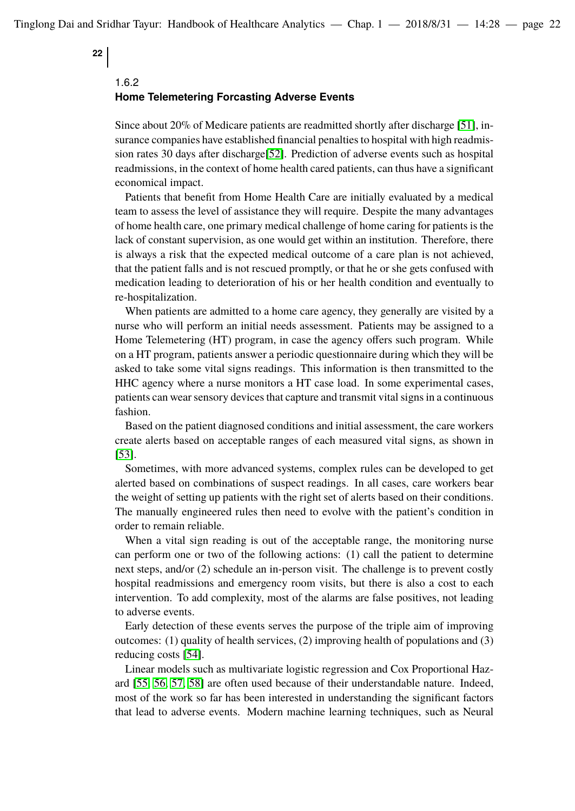## <span id="page-21-0"></span>1.6.2 **Home Telemetering Forcasting Adverse Events**

Since about 20% of Medicare patients are readmitted shortly after discharge [\[51\]](#page-26-8), insurance companies have established financial penalties to hospital with high readmission rates 30 days after discharge[\[52\]](#page-26-9). Prediction of adverse events such as hospital readmissions, in the context of home health cared patients, can thus have a significant economical impact.

Patients that benefit from Home Health Care are initially evaluated by a medical team to assess the level of assistance they will require. Despite the many advantages of home health care, one primary medical challenge of home caring for patients is the lack of constant supervision, as one would get within an institution. Therefore, there is always a risk that the expected medical outcome of a care plan is not achieved, that the patient falls and is not rescued promptly, or that he or she gets confused with medication leading to deterioration of his or her health condition and eventually to re-hospitalization.

When patients are admitted to a home care agency, they generally are visited by a nurse who will perform an initial needs assessment. Patients may be assigned to a Home Telemetering (HT) program, in case the agency offers such program. While on a HT program, patients answer a periodic questionnaire during which they will be asked to take some vital signs readings. This information is then transmitted to the HHC agency where a nurse monitors a HT case load. In some experimental cases, patients can wear sensory devices that capture and transmit vital signs in a continuous fashion.

Based on the patient diagnosed conditions and initial assessment, the care workers create alerts based on acceptable ranges of each measured vital signs, as shown in [\[53\]](#page-26-10).

Sometimes, with more advanced systems, complex rules can be developed to get alerted based on combinations of suspect readings. In all cases, care workers bear the weight of setting up patients with the right set of alerts based on their conditions. The manually engineered rules then need to evolve with the patient's condition in order to remain reliable.

When a vital sign reading is out of the acceptable range, the monitoring nurse can perform one or two of the following actions: (1) call the patient to determine next steps, and/or (2) schedule an in-person visit. The challenge is to prevent costly hospital readmissions and emergency room visits, but there is also a cost to each intervention. To add complexity, most of the alarms are false positives, not leading to adverse events.

Early detection of these events serves the purpose of the triple aim of improving outcomes:  $(1)$  quality of health services,  $(2)$  improving health of populations and  $(3)$ reducing costs [\[54\]](#page-26-11).

Linear models such as multivariate logistic regression and Cox Proportional Hazard [\[55,](#page-26-12) [56,](#page-26-13) [57,](#page-26-14) [58\]](#page-26-15) are often used because of their understandable nature. Indeed, most of the work so far has been interested in understanding the significant factors that lead to adverse events. Modern machine learning techniques, such as Neural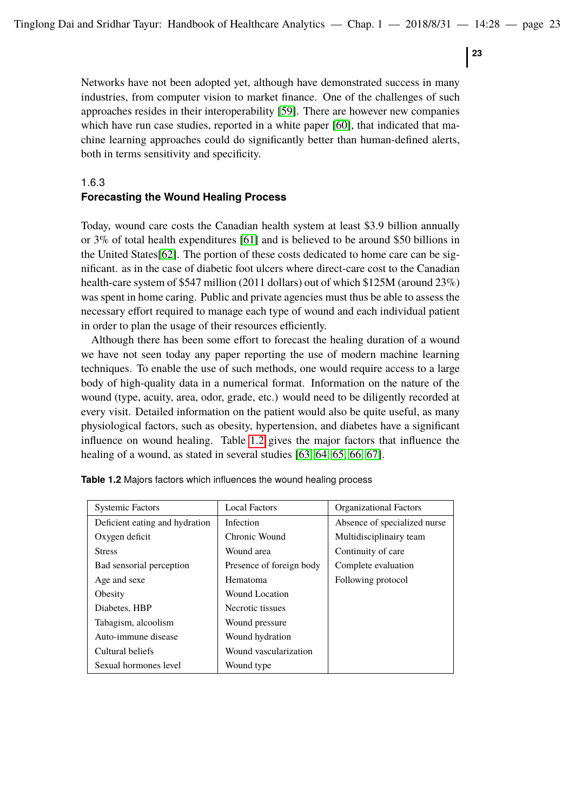Networks have not been adopted yet, although have demonstrated success in many industries, from computer vision to market finance. One of the challenges of such approaches resides in their interoperability [\[59\]](#page-26-16). There are however new companies which have run case studies, reported in a white paper [\[60\]](#page-26-17), that indicated that machine learning approaches could do significantly better than human-defined alerts, both in terms sensitivity and specificity.

## <span id="page-22-0"></span>1.6.3 **Forecasting the Wound Healing Process**

Today, wound care costs the Canadian health system at least \$3.9 billion annually or 3% of total health expenditures [\[61\]](#page-26-18) and is believed to be around \$50 billions in the United States[\[62\]](#page-26-19). The portion of these costs dedicated to home care can be significant. as in the case of diabetic foot ulcers where direct-care cost to the Canadian health-care system of \$547 million (2011 dollars) out of which \$125M (around 23%) was spent in home caring. Public and private agencies must thus be able to assess the necessary effort required to manage each type of wound and each individual patient in order to plan the usage of their resources efficiently.

Although there has been some effort to forecast the healing duration of a wound we have not seen today any paper reporting the use of modern machine learning techniques. To enable the use of such methods, one would require access to a large body of high-quality data in a numerical format. Information on the nature of the wound (type, acuity, area, odor, grade, etc.) would need to be diligently recorded at every visit. Detailed information on the patient would also be quite useful, as many physiological factors, such as obesity, hypertension, and diabetes have a significant influence on wound healing. Table [1.2](#page-22-1) gives the major factors that influence the healing of a wound, as stated in several studies [\[63,](#page-27-0) [64,](#page-27-1) [65,](#page-27-2) [66,](#page-27-3) [67\]](#page-27-4).

| <b>Systemic Factors</b>        | <b>Local Factors</b>     | <b>Organizational Factors</b> |
|--------------------------------|--------------------------|-------------------------------|
| Deficient eating and hydration | Infection                | Absence of specialized nurse  |
| Oxygen deficit                 | Chronic Wound            | Multidisciplinairy team       |
| <b>Stress</b>                  | Wound area               | Continuity of care            |
| Bad sensorial perception       | Presence of foreign body | Complete evaluation           |
| Age and sexe                   | Hematoma                 | Following protocol            |
| Obesity                        | Wound Location           |                               |
| Diabetes, HBP                  | Necrotic tissues         |                               |
| Tabagism, alcoolism            | Wound pressure           |                               |
| Auto-immune disease            | Wound hydration          |                               |
| Cultural beliefs               | Wound vascularization    |                               |
| Sexual hormones level          | Wound type               |                               |

<span id="page-22-1"></span>**Table 1.2** Majors factors which influences the wound healing process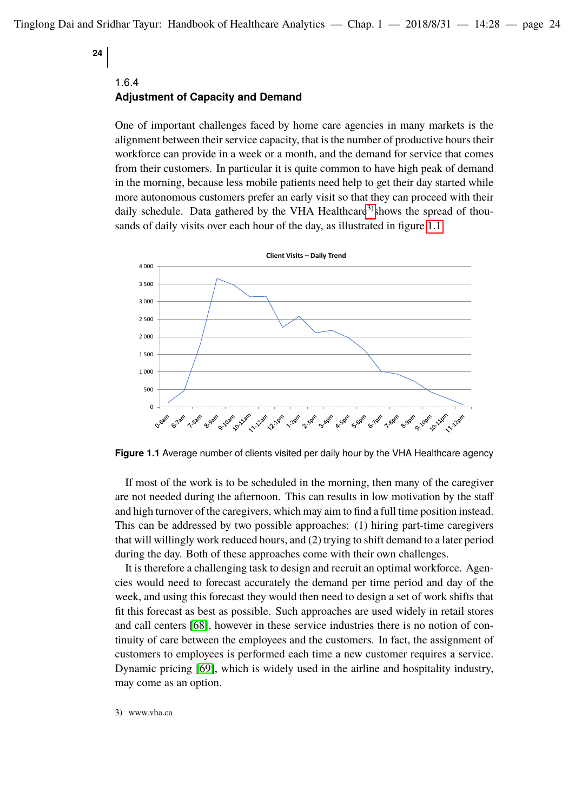## <span id="page-23-0"></span>1.6.4 **Adjustment of Capacity and Demand**

One of important challenges faced by home care agencies in many markets is the alignment between their service capacity, that is the number of productive hours their workforce can provide in a week or a month, and the demand for service that comes from their customers. In particular it is quite common to have high peak of demand in the morning, because less mobile patients need help to get their day started while more autonomous customers prefer an early visit so that they can proceed with their daily schedule. Data gathered by the VHA Healthcare<sup>3</sup>) shows the spread of thousands of daily visits over each hour of the day, as illustrated in figure [1.1.](#page-23-2)

<span id="page-23-2"></span>

**Figure 1.1** Average number of clients visited per daily hour by the VHA Healthcare agency

If most of the work is to be scheduled in the morning, then many of the caregiver are not needed during the afternoon. This can results in low motivation by the staff and high turnover of the caregivers, which may aim to find a full time position instead. This can be addressed by two possible approaches: (1) hiring part-time caregivers that will willingly work reduced hours, and (2) trying to shift demand to a later period during the day. Both of these approaches come with their own challenges.

<span id="page-23-1"></span>It is therefore a challenging task to design and recruit an optimal workforce. Agencies would need to forecast accurately the demand per time period and day of the week, and using this forecast they would then need to design a set of work shifts that fit this forecast as best as possible. Such approaches are used widely in retail stores and call centers [\[68\]](#page-27-5), however in these service industries there is no notion of continuity of care between the employees and the customers. In fact, the assignment of customers to employees is performed each time a new customer requires a service. Dynamic pricing [\[69\]](#page-27-6), which is widely used in the airline and hospitality industry, may come as an option.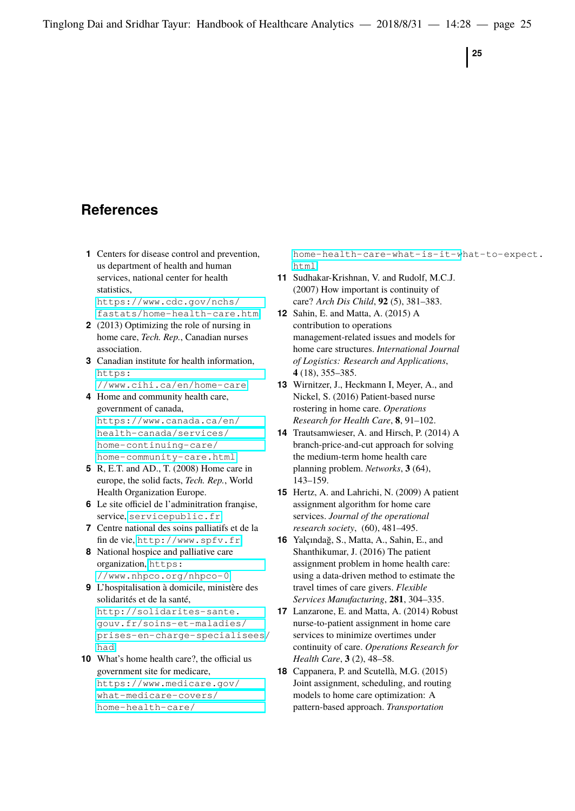## **References**

<span id="page-24-0"></span>**1** Centers for disease control and prevention, us department of health and human services, national center for health statistics,

[https://www.cdc.gov/nchs/](https://www.cdc.gov/nchs/fastats/home-health-care.htm) [fastats/home-health-care.htm](https://www.cdc.gov/nchs/fastats/home-health-care.htm).

- <span id="page-24-1"></span>**2** (2013) Optimizing the role of nursing in home care, *Tech. Rep.*, Canadian nurses association.
- <span id="page-24-2"></span>**3** Canadian institute for health information, [https:](https://www.cihi.ca/en/home-care)

[//www.cihi.ca/en/home-care](https://www.cihi.ca/en/home-care).

- <span id="page-24-3"></span>**4** Home and community health care, government of canada, [https://www.canada.ca/en/](https://www.canada.ca/en/health-canada/services/home-continuing-care/home-community-care.html) [health-canada/services/](https://www.canada.ca/en/health-canada/services/home-continuing-care/home-community-care.html) [home-continuing-care/](https://www.canada.ca/en/health-canada/services/home-continuing-care/home-community-care.html) [home-community-care.html](https://www.canada.ca/en/health-canada/services/home-continuing-care/home-community-care.html).
- <span id="page-24-4"></span>**5** R, E.T. and AD., T. (2008) Home care in europe, the solid facts, *Tech. Rep.*, World Health Organization Europe.
- <span id="page-24-5"></span>**6** Le site officiel de l'adminitration franaise, service, <servicepublic.fr>.
- <span id="page-24-6"></span>**7** Centre national des soins palliatifs et de la fin de vie, <http://www.spfv.fr>.
- <span id="page-24-7"></span>**8** National hospice and palliative care organization, [https:](https://www.nhpco.org/nhpco-0) [//www.nhpco.org/nhpco-0](https://www.nhpco.org/nhpco-0).
- <span id="page-24-8"></span>**9** L'hospitalisation à domicile, ministère des solidarités et de la santé, [http://solidarites-sante.](http://solidarites-sante.gouv.fr/soins-et-maladies/prises-en-charge-specialisees/had) [gouv.fr/soins-et-maladies/](http://solidarites-sante.gouv.fr/soins-et-maladies/prises-en-charge-specialisees/had) [prises-en-charge-specialisees](http://solidarites-sante.gouv.fr/soins-et-maladies/prises-en-charge-specialisees/had)/ [had](http://solidarites-sante.gouv.fr/soins-et-maladies/prises-en-charge-specialisees/had).
- <span id="page-24-9"></span>**10** What's home health care?, the official us government site for medicare, [https://www.medicare.gov/](https://www.medicare.gov/what-medicare-covers/home-health-care/home-health-care-what-is-it-what-to-expect.html) [what-medicare-covers/](https://www.medicare.gov/what-medicare-covers/home-health-care/home-health-care-what-is-it-what-to-expect.html) [home-health-care/](https://www.medicare.gov/what-medicare-covers/home-health-care/home-health-care-what-is-it-what-to-expect.html)

[home-health-care-what-is-it-w](https://www.medicare.gov/what-medicare-covers/home-health-care/home-health-care-what-is-it-what-to-expect.html)hat-to-expect. [html](https://www.medicare.gov/what-medicare-covers/home-health-care/home-health-care-what-is-it-what-to-expect.html).

- <span id="page-24-10"></span>**11** Sudhakar-Krishnan, V. and Rudolf, M.C.J. (2007) How important is continuity of care? *Arch Dis Child*, **92** (5), 381–383.
- <span id="page-24-11"></span>**12** Sahin, E. and Matta, A. (2015) A contribution to operations management-related issues and models for home care structures. *International Journal of Logistics: Research and Applications*, **4** (18), 355–385.
- <span id="page-24-12"></span>**13** Wirnitzer, J., Heckmann I, Meyer, A., and Nickel, S. (2016) Patient-based nurse rostering in home care. *Operations Research for Health Care*, **8**, 91–102.
- <span id="page-24-13"></span>**14** Trautsamwieser, A. and Hirsch, P. (2014) A branch-price-and-cut approach for solving the medium-term home health care planning problem. *Networks*, **3** (64), 143–159.
- <span id="page-24-14"></span>**15** Hertz, A. and Lahrichi, N. (2009) A patient assignment algorithm for home care services. *Journal of the operational research society*, (60), 481–495.
- <span id="page-24-15"></span>**16** Yalçındağ, S., Matta, A., Sahin, E., and Shanthikumar, J. (2016) The patient assignment problem in home health care: using a data-driven method to estimate the travel times of care givers. *Flexible Services Manufacturing*, **281**, 304–335.
- <span id="page-24-16"></span>**17** Lanzarone, E. and Matta, A. (2014) Robust nurse-to-patient assignment in home care services to minimize overtimes under continuity of care. *Operations Research for Health Care*, **3** (2), 48–58.
- <span id="page-24-17"></span>**18** Cappanera, P. and Scutellà, M.G. (2015) Joint assignment, scheduling, and routing models to home care optimization: A pattern-based approach. *Transportation*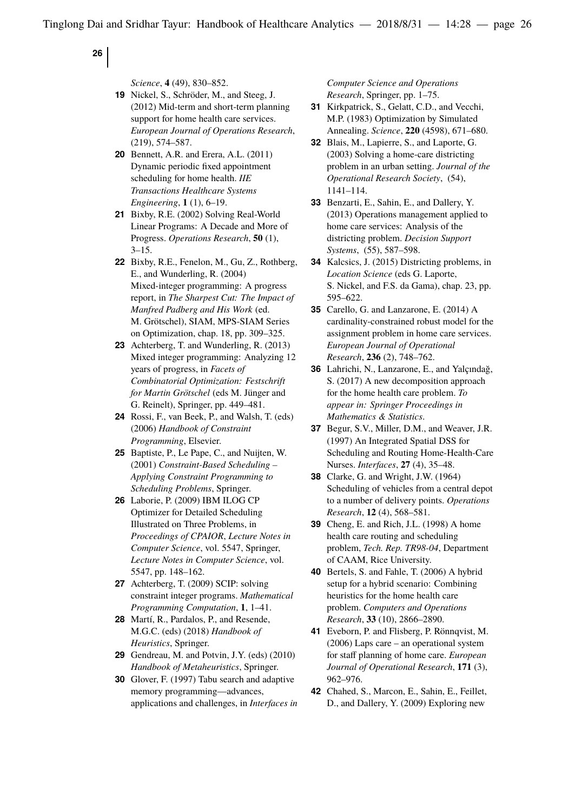Tinglong Dai and Sridhar Tayur: Handbook of Healthcare Analytics — 2018/8/31 — 14:28 — page 26

**26**

*Science*, **4** (49), 830–852.

- <span id="page-25-0"></span>**19** Nickel, S., Schröder, M., and Steeg, J. (2012) Mid-term and short-term planning support for home health care services. *European Journal of Operations Research*, (219), 574–587.
- <span id="page-25-1"></span>**20** Bennett, A.R. and Erera, A.L. (2011) Dynamic periodic fixed appointment scheduling for home health. *IIE Transactions Healthcare Systems Engineering*, **1** (1), 6–19.
- <span id="page-25-2"></span>**21** Bixby, R.E. (2002) Solving Real-World Linear Programs: A Decade and More of Progress. *Operations Research*, **50** (1),  $3 - 15$ .
- <span id="page-25-3"></span>**22** Bixby, R.E., Fenelon, M., Gu, Z., Rothberg, E., and Wunderling, R. (2004) Mixed-integer programming: A progress report, in *The Sharpest Cut: The Impact of Manfred Padberg and His Work* (ed. M. Grötschel), SIAM, MPS-SIAM Series on Optimization, chap. 18, pp. 309–325.
- <span id="page-25-4"></span>**23** Achterberg, T. and Wunderling, R. (2013) Mixed integer programming: Analyzing 12 years of progress, in *Facets of Combinatorial Optimization: Festschrift for Martin Grötschel* (eds M. Jünger and G. Reinelt), Springer, pp. 449–481.
- <span id="page-25-5"></span>**24** Rossi, F., van Beek, P., and Walsh, T. (eds) (2006) *Handbook of Constraint Programming*, Elsevier.
- <span id="page-25-6"></span>**25** Baptiste, P., Le Pape, C., and Nuijten, W. (2001) *Constraint-Based Scheduling – Applying Constraint Programming to Scheduling Problems*, Springer.
- <span id="page-25-7"></span>**26** Laborie, P. (2009) IBM ILOG CP Optimizer for Detailed Scheduling Illustrated on Three Problems, in *Proceedings of CPAIOR*, *Lecture Notes in Computer Science*, vol. 5547, Springer, *Lecture Notes in Computer Science*, vol. 5547, pp. 148–162.
- <span id="page-25-8"></span>**27** Achterberg, T. (2009) SCIP: solving constraint integer programs. *Mathematical Programming Computation*, **1**, 1–41.
- <span id="page-25-9"></span>**28** Martí, R., Pardalos, P., and Resende, M.G.C. (eds) (2018) *Handbook of Heuristics*, Springer.
- <span id="page-25-10"></span>**29** Gendreau, M. and Potvin, J.Y. (eds) (2010) *Handbook of Metaheuristics*, Springer.
- <span id="page-25-11"></span>**30** Glover, F. (1997) Tabu search and adaptive memory programming—advances, applications and challenges, in *Interfaces in*

*Computer Science and Operations Research*, Springer, pp. 1–75.

- <span id="page-25-12"></span>**31** Kirkpatrick, S., Gelatt, C.D., and Vecchi, M.P. (1983) Optimization by Simulated Annealing. *Science*, **220** (4598), 671–680.
- <span id="page-25-13"></span>**32** Blais, M., Lapierre, S., and Laporte, G. (2003) Solving a home-care districting problem in an urban setting. *Journal of the Operational Research Society*, (54), 1141–114.
- <span id="page-25-14"></span>**33** Benzarti, E., Sahin, E., and Dallery, Y. (2013) Operations management applied to home care services: Analysis of the districting problem. *Decision Support Systems*, (55), 587–598.
- <span id="page-25-15"></span>**34** Kalcsics, J. (2015) Districting problems, in *Location Science* (eds G. Laporte, S. Nickel, and F.S. da Gama), chap. 23, pp. 595–622.
- <span id="page-25-16"></span>**35** Carello, G. and Lanzarone, E. (2014) A cardinality-constrained robust model for the assignment problem in home care services. *European Journal of Operational Research*, **236** (2), 748–762.
- <span id="page-25-17"></span>**36** Lahrichi, N., Lanzarone, E., and Yalçındağ, S. (2017) A new decomposition approach for the home health care problem. *To appear in: Springer Proceedings in Mathematics & Statistics*.
- <span id="page-25-18"></span>**37** Begur, S.V., Miller, D.M., and Weaver, J.R. (1997) An Integrated Spatial DSS for Scheduling and Routing Home-Health-Care Nurses. *Interfaces*, **27** (4), 35–48.
- <span id="page-25-19"></span>**38** Clarke, G. and Wright, J.W. (1964) Scheduling of vehicles from a central depot to a number of delivery points. *Operations Research*, **12** (4), 568–581.
- <span id="page-25-20"></span>**39** Cheng, E. and Rich, J.L. (1998) A home health care routing and scheduling problem, *Tech. Rep. TR98-04*, Department of CAAM, Rice University.
- <span id="page-25-21"></span>**40** Bertels, S. and Fahle, T. (2006) A hybrid setup for a hybrid scenario: Combining heuristics for the home health care problem. *Computers and Operations Research*, **33** (10), 2866–2890.
- <span id="page-25-22"></span>**41** Eveborn, P. and Flisberg, P. Rönnqvist, M. (2006) Laps care – an operational system for staff planning of home care. *European Journal of Operational Research*, **171** (3), 962–976.
- <span id="page-25-23"></span>**42** Chahed, S., Marcon, E., Sahin, E., Feillet, D., and Dallery, Y. (2009) Exploring new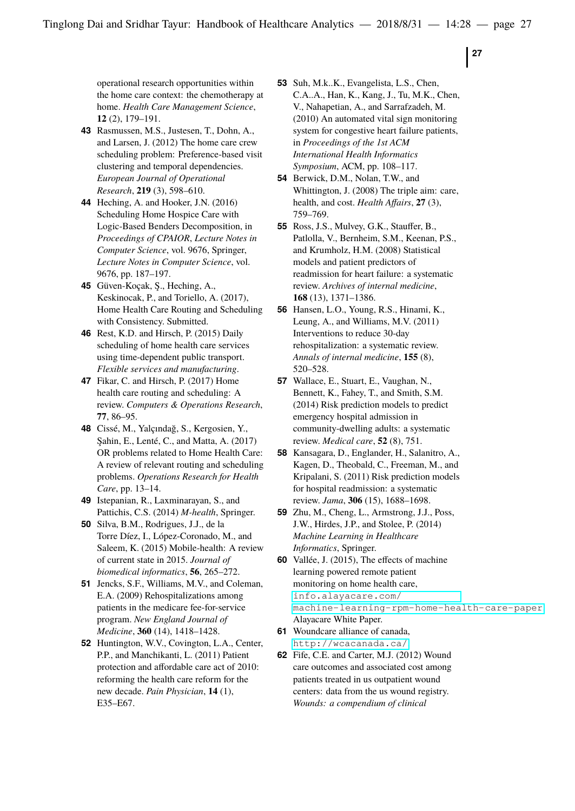operational research opportunities within the home care context: the chemotherapy at home. *Health Care Management Science*, **12** (2), 179–191.

- <span id="page-26-0"></span>**43** Rasmussen, M.S., Justesen, T., Dohn, A., and Larsen, J. (2012) The home care crew scheduling problem: Preference-based visit clustering and temporal dependencies. *European Journal of Operational Research*, **219** (3), 598–610.
- <span id="page-26-1"></span>**44** Heching, A. and Hooker, J.N. (2016) Scheduling Home Hospice Care with Logic-Based Benders Decomposition, in *Proceedings of CPAIOR*, *Lecture Notes in Computer Science*, vol. 9676, Springer, *Lecture Notes in Computer Science*, vol. 9676, pp. 187–197.
- <span id="page-26-2"></span>**45** Güven-Koçak, Ş., Heching, A., Keskinocak, P., and Toriello, A. (2017), Home Health Care Routing and Scheduling with Consistency. Submitted.
- <span id="page-26-3"></span>**46** Rest, K.D. and Hirsch, P. (2015) Daily scheduling of home health care services using time-dependent public transport. *Flexible services and manufacturing*.
- <span id="page-26-4"></span>**47** Fikar, C. and Hirsch, P. (2017) Home health care routing and scheduling: A review. *Computers & Operations Research*, **77**, 86–95.
- <span id="page-26-5"></span>**48** Cissé, M., Yalçındağ, S., Kergosien, Y., Şahin, E., Lenté, C., and Matta, A. (2017) OR problems related to Home Health Care: A review of relevant routing and scheduling problems. *Operations Research for Health Care*, pp. 13–14.
- <span id="page-26-6"></span>**49** Istepanian, R., Laxminarayan, S., and Pattichis, C.S. (2014) *M-health*, Springer.
- <span id="page-26-7"></span>**50** Silva, B.M., Rodrigues, J.J., de la Torre Díez, I., López-Coronado, M., and Saleem, K. (2015) Mobile-health: A review of current state in 2015. *Journal of biomedical informatics*, **56**, 265–272.
- <span id="page-26-8"></span>**51** Jencks, S.F., Williams, M.V., and Coleman, E.A. (2009) Rehospitalizations among patients in the medicare fee-for-service program. *New England Journal of Medicine*, **360** (14), 1418–1428.
- <span id="page-26-9"></span>**52** Huntington, W.V., Covington, L.A., Center, P.P., and Manchikanti, L. (2011) Patient protection and affordable care act of 2010: reforming the health care reform for the new decade. *Pain Physician*, **14** (1), E35–E67.

<span id="page-26-10"></span>**53** Suh, M.k..K., Evangelista, L.S., Chen, C.A..A., Han, K., Kang, J., Tu, M.K., Chen, V., Nahapetian, A., and Sarrafzadeh, M. (2010) An automated vital sign monitoring system for congestive heart failure patients, in *Proceedings of the 1st ACM International Health Informatics Symposium*, ACM, pp. 108–117.

**27**

- <span id="page-26-11"></span>**54** Berwick, D.M., Nolan, T.W., and Whittington, J. (2008) The triple aim: care, health, and cost. *Health Affairs*, **27** (3), 759–769.
- <span id="page-26-12"></span>**55** Ross, J.S., Mulvey, G.K., Stauffer, B., Patlolla, V., Bernheim, S.M., Keenan, P.S., and Krumholz, H.M. (2008) Statistical models and patient predictors of readmission for heart failure: a systematic review. *Archives of internal medicine*, **168** (13), 1371–1386.
- <span id="page-26-13"></span>**56** Hansen, L.O., Young, R.S., Hinami, K., Leung, A., and Williams, M.V. (2011) Interventions to reduce 30-day rehospitalization: a systematic review. *Annals of internal medicine*, **155** (8), 520–528.
- <span id="page-26-14"></span>**57** Wallace, E., Stuart, E., Vaughan, N., Bennett, K., Fahey, T., and Smith, S.M. (2014) Risk prediction models to predict emergency hospital admission in community-dwelling adults: a systematic review. *Medical care*, **52** (8), 751.
- <span id="page-26-15"></span>**58** Kansagara, D., Englander, H., Salanitro, A., Kagen, D., Theobald, C., Freeman, M., and Kripalani, S. (2011) Risk prediction models for hospital readmission: a systematic review. *Jama*, **306** (15), 1688–1698.
- <span id="page-26-16"></span>**59** Zhu, M., Cheng, L., Armstrong, J.J., Poss, J.W., Hirdes, J.P., and Stolee, P. (2014) *Machine Learning in Healthcare Informatics*, Springer.
- <span id="page-26-17"></span>**60** Vallée, J. (2015), The effects of machine learning powered remote patient monitoring on home health care, [info.alayacare.com/](info.alayacare.com/machine-learning-rpm-home-health-care-paper) [machine-learning-rpm-home-health-care-paper](info.alayacare.com/machine-learning-rpm-home-health-care-paper). Alayacare White Paper.
- <span id="page-26-18"></span>**61** Woundcare alliance of canada, <http://wcacanada.ca/>.
- <span id="page-26-19"></span>**62** Fife, C.E. and Carter, M.J. (2012) Wound care outcomes and associated cost among patients treated in us outpatient wound centers: data from the us wound registry. *Wounds: a compendium of clinical*